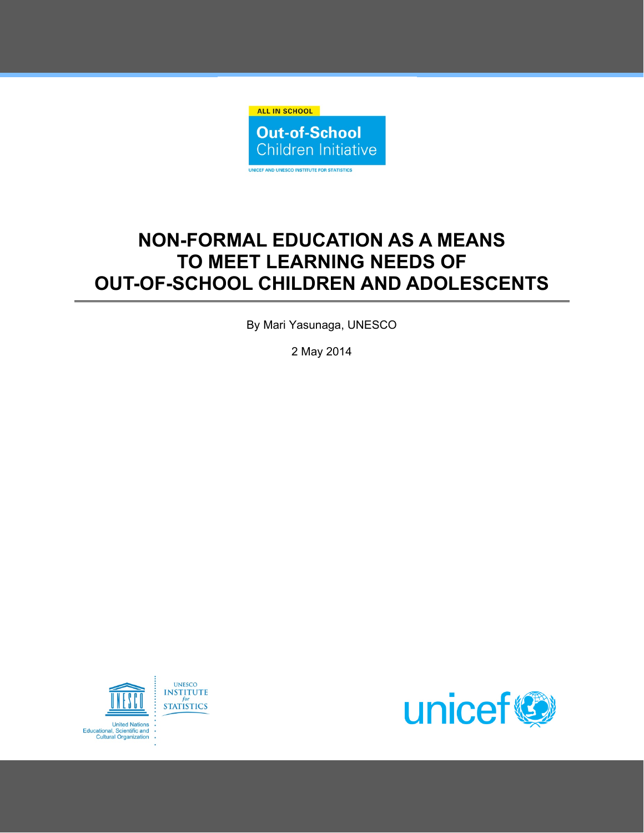

# **NON-FORMAL EDUCATION AS A MEANS TO MEET LEARNING NEEDS OF OUT-OF-SCHOOL CHILDREN AND ADOLESCENTS**

By Mari Yasunaga, UNESCO

2 May 2014



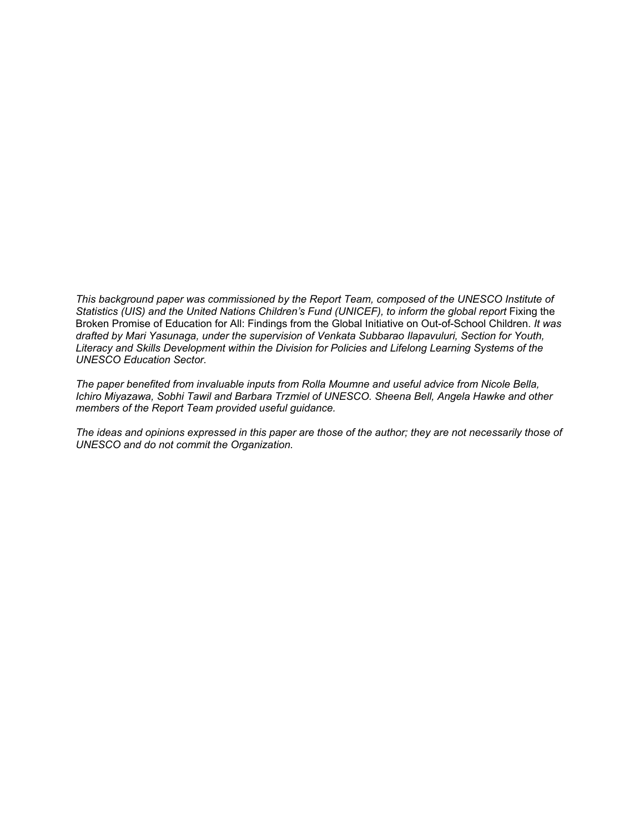*This background paper was commissioned by the Report Team, composed of the UNESCO Institute of*  Statistics (UIS) and the United Nations Children's Fund (UNICEF), to inform the global report Fixing the Broken Promise of Education for All: Findings from the Global Initiative on Out-of-School Children. *It was drafted by Mari Yasunaga, under the supervision of Venkata Subbarao Ilapavuluri, Section for Youth, Literacy and Skills Development within the Division for Policies and Lifelong Learning Systems of the UNESCO Education Sector.* 

*The paper benefited from invaluable inputs from Rolla Moumne and useful advice from Nicole Bella, Ichiro Miyazawa, Sobhi Tawil and Barbara Trzmiel of UNESCO. Sheena Bell, Angela Hawke and other members of the Report Team provided useful guidance.* 

*The ideas and opinions expressed in this paper are those of the author; they are not necessarily those of UNESCO and do not commit the Organization.*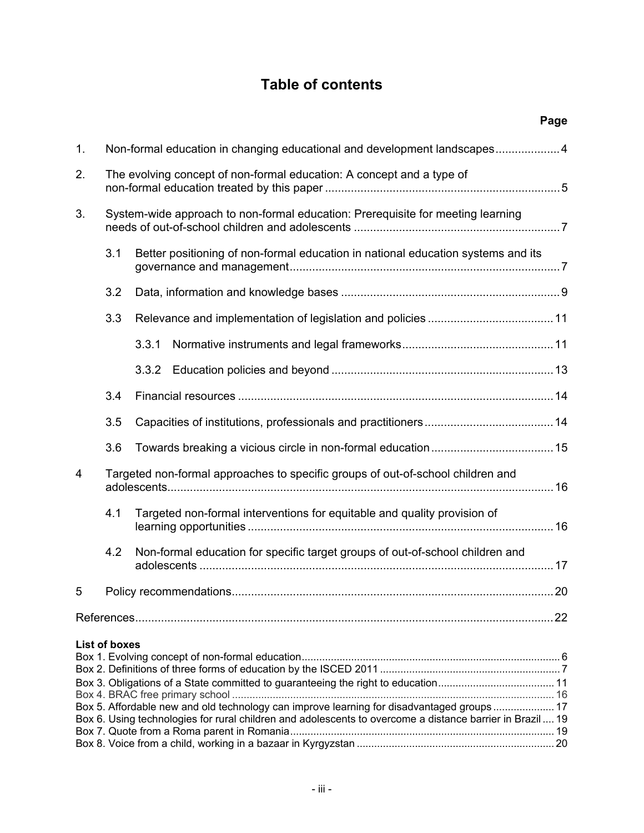# **Table of contents**

|    |                                                                                                                                                                                                        |                                                                                  |                                                                               | Page |  |
|----|--------------------------------------------------------------------------------------------------------------------------------------------------------------------------------------------------------|----------------------------------------------------------------------------------|-------------------------------------------------------------------------------|------|--|
| 1. |                                                                                                                                                                                                        | Non-formal education in changing educational and development landscapes4         |                                                                               |      |  |
| 2. |                                                                                                                                                                                                        | The evolving concept of non-formal education: A concept and a type of            |                                                                               |      |  |
| 3. | System-wide approach to non-formal education: Prerequisite for meeting learning                                                                                                                        |                                                                                  |                                                                               |      |  |
|    | 3.1                                                                                                                                                                                                    | Better positioning of non-formal education in national education systems and its |                                                                               |      |  |
|    | 3.2                                                                                                                                                                                                    |                                                                                  |                                                                               |      |  |
|    | 3.3                                                                                                                                                                                                    |                                                                                  |                                                                               |      |  |
|    |                                                                                                                                                                                                        | 3.3.1                                                                            |                                                                               |      |  |
|    |                                                                                                                                                                                                        | 3.3.2                                                                            |                                                                               |      |  |
|    | 3.4                                                                                                                                                                                                    |                                                                                  |                                                                               |      |  |
|    | 3.5                                                                                                                                                                                                    |                                                                                  |                                                                               |      |  |
|    | 3.6                                                                                                                                                                                                    |                                                                                  |                                                                               |      |  |
| 4  | Targeted non-formal approaches to specific groups of out-of-school children and                                                                                                                        |                                                                                  |                                                                               |      |  |
|    | 4.1                                                                                                                                                                                                    | Targeted non-formal interventions for equitable and quality provision of         |                                                                               |      |  |
|    | 4.2                                                                                                                                                                                                    |                                                                                  | Non-formal education for specific target groups of out-of-school children and |      |  |
| 5  |                                                                                                                                                                                                        |                                                                                  |                                                                               |      |  |
|    |                                                                                                                                                                                                        |                                                                                  |                                                                               |      |  |
|    | List of boxes                                                                                                                                                                                          |                                                                                  |                                                                               |      |  |
|    |                                                                                                                                                                                                        |                                                                                  |                                                                               |      |  |
|    | Box 5. Affordable new and old technology can improve learning for disadvantaged groups 17<br>Box 6. Using technologies for rural children and adolescents to overcome a distance barrier in Brazil  19 |                                                                                  |                                                                               |      |  |
|    |                                                                                                                                                                                                        |                                                                                  |                                                                               |      |  |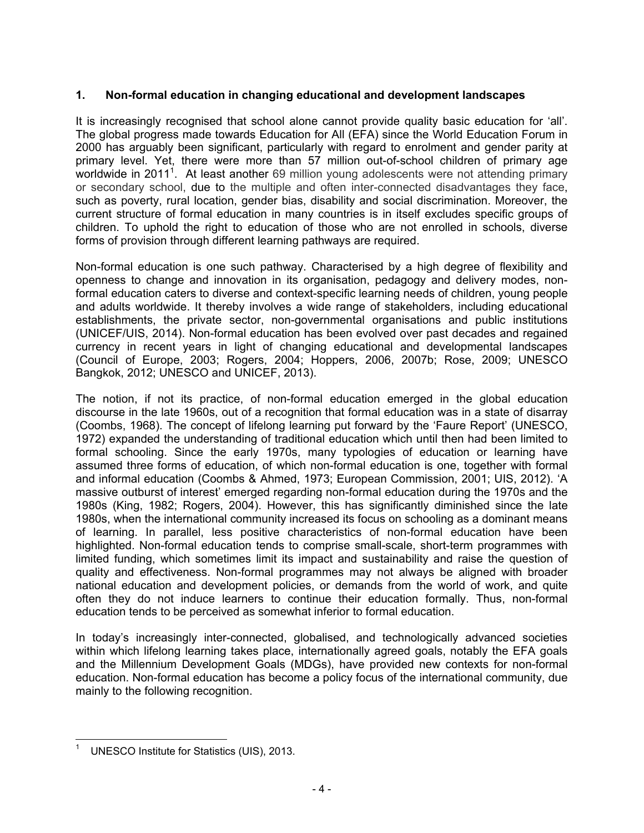# **1. Non-formal education in changing educational and development landscapes**

It is increasingly recognised that school alone cannot provide quality basic education for 'all'. The global progress made towards Education for All (EFA) since the World Education Forum in 2000 has arguably been significant, particularly with regard to enrolment and gender parity at primary level. Yet, there were more than 57 million out-of-school children of primary age worldwide in 2011<sup>1</sup>. At least another 69 million young adolescents were not attending primary or secondary school, due to the multiple and often inter-connected disadvantages they face, such as poverty, rural location, gender bias, disability and social discrimination. Moreover, the current structure of formal education in many countries is in itself excludes specific groups of children. To uphold the right to education of those who are not enrolled in schools, diverse forms of provision through different learning pathways are required.

Non-formal education is one such pathway. Characterised by a high degree of flexibility and openness to change and innovation in its organisation, pedagogy and delivery modes, nonformal education caters to diverse and context-specific learning needs of children, young people and adults worldwide. It thereby involves a wide range of stakeholders, including educational establishments, the private sector, non-governmental organisations and public institutions (UNICEF/UIS, 2014). Non-formal education has been evolved over past decades and regained currency in recent years in light of changing educational and developmental landscapes (Council of Europe, 2003; Rogers, 2004; Hoppers, 2006, 2007b; Rose, 2009; UNESCO Bangkok, 2012; UNESCO and UNICEF, 2013).

The notion, if not its practice, of non-formal education emerged in the global education discourse in the late 1960s, out of a recognition that formal education was in a state of disarray (Coombs, 1968). The concept of lifelong learning put forward by the 'Faure Report' (UNESCO, 1972) expanded the understanding of traditional education which until then had been limited to formal schooling. Since the early 1970s, many typologies of education or learning have assumed three forms of education, of which non-formal education is one, together with formal and informal education (Coombs & Ahmed, 1973; European Commission, 2001; UIS, 2012). 'A massive outburst of interest' emerged regarding non-formal education during the 1970s and the 1980s (King, 1982; Rogers, 2004). However, this has significantly diminished since the late 1980s, when the international community increased its focus on schooling as a dominant means of learning. In parallel, less positive characteristics of non-formal education have been highlighted. Non-formal education tends to comprise small-scale, short-term programmes with limited funding, which sometimes limit its impact and sustainability and raise the question of quality and effectiveness. Non-formal programmes may not always be aligned with broader national education and development policies, or demands from the world of work, and quite often they do not induce learners to continue their education formally. Thus, non-formal education tends to be perceived as somewhat inferior to formal education.

In today's increasingly inter-connected, globalised, and technologically advanced societies within which lifelong learning takes place, internationally agreed goals, notably the EFA goals and the Millennium Development Goals (MDGs), have provided new contexts for non-formal education. Non-formal education has become a policy focus of the international community, due mainly to the following recognition.

**<sup>.</sup>** 1 UNESCO Institute for Statistics (UIS), 2013.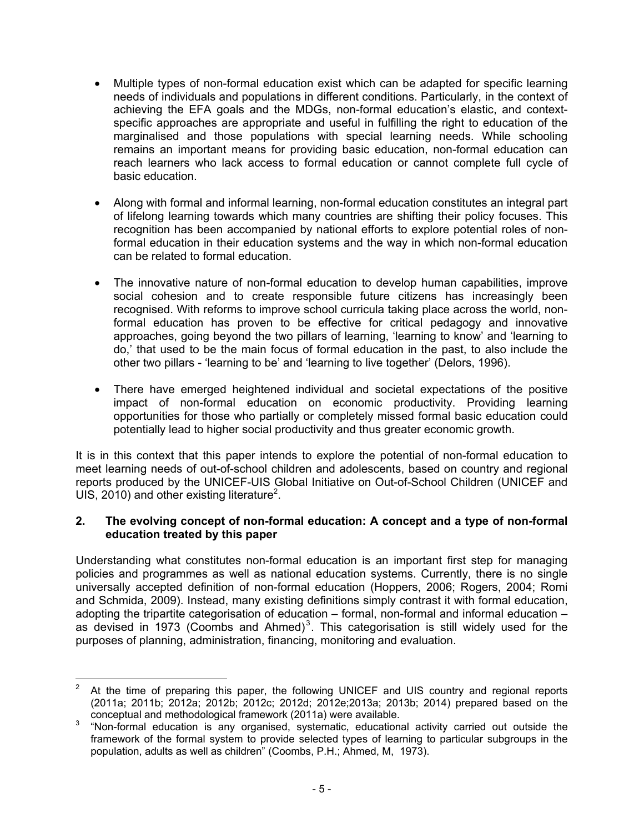- Multiple types of non-formal education exist which can be adapted for specific learning needs of individuals and populations in different conditions. Particularly, in the context of achieving the EFA goals and the MDGs, non-formal education's elastic, and contextspecific approaches are appropriate and useful in fulfilling the right to education of the marginalised and those populations with special learning needs. While schooling remains an important means for providing basic education, non-formal education can reach learners who lack access to formal education or cannot complete full cycle of basic education.
- Along with formal and informal learning, non-formal education constitutes an integral part of lifelong learning towards which many countries are shifting their policy focuses. This recognition has been accompanied by national efforts to explore potential roles of nonformal education in their education systems and the way in which non-formal education can be related to formal education.
- The innovative nature of non-formal education to develop human capabilities, improve social cohesion and to create responsible future citizens has increasingly been recognised. With reforms to improve school curricula taking place across the world, nonformal education has proven to be effective for critical pedagogy and innovative approaches, going beyond the two pillars of learning, 'learning to know' and 'learning to do,' that used to be the main focus of formal education in the past, to also include the other two pillars - 'learning to be' and 'learning to live together' (Delors, 1996).
- There have emerged heightened individual and societal expectations of the positive impact of non-formal education on economic productivity. Providing learning opportunities for those who partially or completely missed formal basic education could potentially lead to higher social productivity and thus greater economic growth.

It is in this context that this paper intends to explore the potential of non-formal education to meet learning needs of out-of-school children and adolescents, based on country and regional reports produced by the UNICEF-UIS Global Initiative on Out-of-School Children (UNICEF and UIS, 2010) and other existing literature<sup>2</sup>.

# **2. The evolving concept of non-formal education: A concept and a type of non-formal education treated by this paper**

Understanding what constitutes non-formal education is an important first step for managing policies and programmes as well as national education systems. Currently, there is no single universally accepted definition of non-formal education (Hoppers, 2006; Rogers, 2004; Romi and Schmida, 2009). Instead, many existing definitions simply contrast it with formal education, adopting the tripartite categorisation of education – formal, non-formal and informal education – as devised in 1973 (Coombs and Ahmed)<sup>3</sup>. This categorisation is still widely used for the purposes of planning, administration, financing, monitoring and evaluation.

 $\frac{1}{2}$  At the time of preparing this paper, the following UNICEF and UIS country and regional reports (2011a; 2011b; 2012a; 2012b; 2012c; 2012d; 2012e;2013a; 2013b; 2014) prepared based on the

conceptual and methodological framework (2011a) were available.<br><sup>3</sup> "Non-formal education is any organised, systematic, educational activity carried out outside the framework of the formal system to provide selected types of learning to particular subgroups in the population, adults as well as children" (Coombs, P.H.; Ahmed, M, 1973).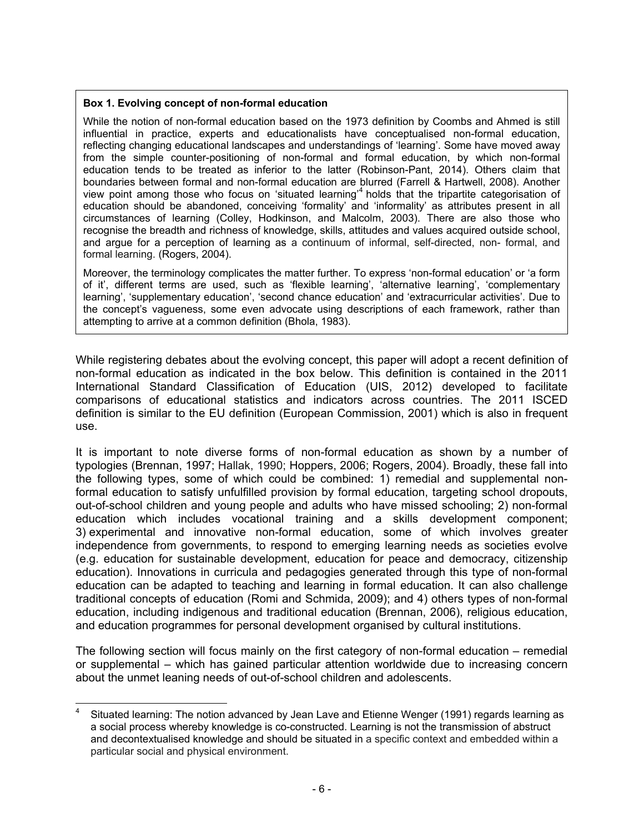#### **Box 1. Evolving concept of non-formal education**

While the notion of non-formal education based on the 1973 definition by Coombs and Ahmed is still influential in practice, experts and educationalists have conceptualised non-formal education, reflecting changing educational landscapes and understandings of 'learning'. Some have moved away from the simple counter-positioning of non-formal and formal education, by which non-formal education tends to be treated as inferior to the latter (Robinson-Pant, 2014). Others claim that boundaries between formal and non-formal education are blurred (Farrell & Hartwell, 2008). Another view point among those who focus on 'situated learning'<sup>4</sup> holds that the tripartite categorisation of education should be abandoned, conceiving 'formality' and 'informality' as attributes present in all circumstances of learning (Colley, Hodkinson, and Malcolm, 2003). There are also those who recognise the breadth and richness of knowledge, skills, attitudes and values acquired outside school, and argue for a perception of learning as a continuum of informal, self-directed, non- formal, and formal learning. (Rogers, 2004).

Moreover, the terminology complicates the matter further. To express 'non-formal education' or 'a form of it', different terms are used, such as 'flexible learning', 'alternative learning', 'complementary learning', 'supplementary education', 'second chance education' and 'extracurricular activities'. Due to the concept's vagueness, some even advocate using descriptions of each framework, rather than attempting to arrive at a common definition (Bhola, 1983).

While registering debates about the evolving concept, this paper will adopt a recent definition of non-formal education as indicated in the box below. This definition is contained in the 2011 International Standard Classification of Education (UIS, 2012) developed to facilitate comparisons of educational statistics and indicators across countries. The 2011 ISCED definition is similar to the EU definition (European Commission, 2001) which is also in frequent use.

It is important to note diverse forms of non-formal education as shown by a number of typologies (Brennan, 1997; Hallak, 1990; Hoppers, 2006; Rogers, 2004). Broadly, these fall into the following types, some of which could be combined: 1) remedial and supplemental nonformal education to satisfy unfulfilled provision by formal education, targeting school dropouts, out-of-school children and young people and adults who have missed schooling; 2) non-formal education which includes vocational training and a skills development component; 3) experimental and innovative non-formal education, some of which involves greater independence from governments, to respond to emerging learning needs as societies evolve (e.g. education for sustainable development, education for peace and democracy, citizenship education). Innovations in curricula and pedagogies generated through this type of non-formal education can be adapted to teaching and learning in formal education. It can also challenge traditional concepts of education (Romi and Schmida, 2009); and 4) others types of non-formal education, including indigenous and traditional education (Brennan, 2006), religious education, and education programmes for personal development organised by cultural institutions.

The following section will focus mainly on the first category of non-formal education – remedial or supplemental – which has gained particular attention worldwide due to increasing concern about the unmet leaning needs of out-of-school children and adolescents.

 $\overline{\phantom{a}}$ 4 Situated learning: The notion advanced by Jean Lave and Etienne Wenger (1991) regards learning as a social process whereby knowledge is co-constructed. Learning is not the transmission of abstruct and decontextualised knowledge and should be situated in a specific context and embedded within a particular social and physical environment.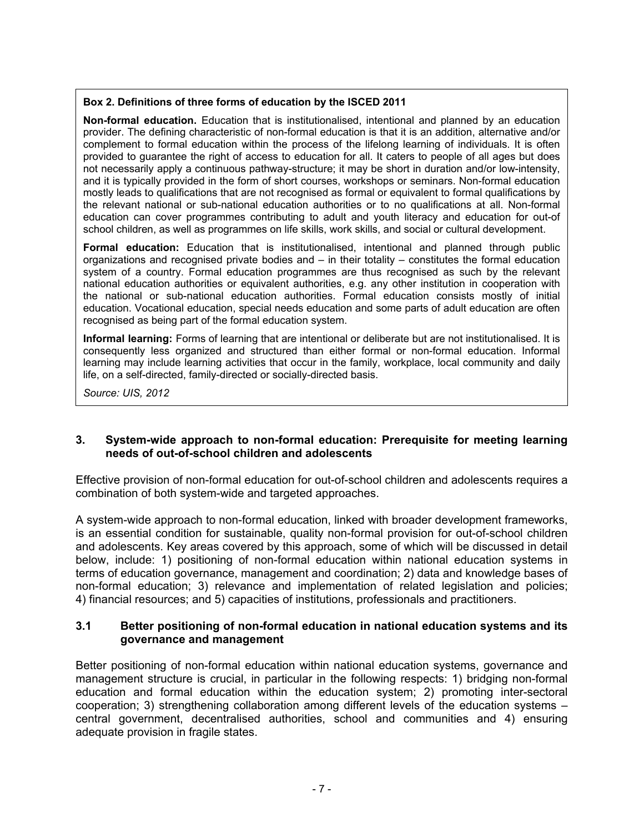## **Box 2. Definitions of three forms of education by the ISCED 2011**

**Non-formal education.** Education that is institutionalised, intentional and planned by an education provider. The defining characteristic of non-formal education is that it is an addition, alternative and/or complement to formal education within the process of the lifelong learning of individuals. It is often provided to guarantee the right of access to education for all. It caters to people of all ages but does not necessarily apply a continuous pathway-structure; it may be short in duration and/or low-intensity, and it is typically provided in the form of short courses, workshops or seminars. Non-formal education mostly leads to qualifications that are not recognised as formal or equivalent to formal qualifications by the relevant national or sub-national education authorities or to no qualifications at all. Non-formal education can cover programmes contributing to adult and youth literacy and education for out-of school children, as well as programmes on life skills, work skills, and social or cultural development.

**Formal education:** Education that is institutionalised, intentional and planned through public organizations and recognised private bodies and – in their totality – constitutes the formal education system of a country. Formal education programmes are thus recognised as such by the relevant national education authorities or equivalent authorities, e.g. any other institution in cooperation with the national or sub-national education authorities. Formal education consists mostly of initial education. Vocational education, special needs education and some parts of adult education are often recognised as being part of the formal education system.

**Informal learning:** Forms of learning that are intentional or deliberate but are not institutionalised. It is consequently less organized and structured than either formal or non-formal education. Informal learning may include learning activities that occur in the family, workplace, local community and daily life, on a self-directed, family-directed or socially-directed basis.

*Source: UIS, 2012*

#### **3. System-wide approach to non-formal education: Prerequisite for meeting learning needs of out-of-school children and adolescents**

Effective provision of non-formal education for out-of-school children and adolescents requires a combination of both system-wide and targeted approaches.

A system-wide approach to non-formal education, linked with broader development frameworks, is an essential condition for sustainable, quality non-formal provision for out-of-school children and adolescents. Key areas covered by this approach, some of which will be discussed in detail below, include: 1) positioning of non-formal education within national education systems in terms of education governance, management and coordination; 2) data and knowledge bases of non-formal education; 3) relevance and implementation of related legislation and policies; 4) financial resources; and 5) capacities of institutions, professionals and practitioners.

#### **3.1 Better positioning of non-formal education in national education systems and its governance and management**

Better positioning of non-formal education within national education systems, governance and management structure is crucial, in particular in the following respects: 1) bridging non-formal education and formal education within the education system; 2) promoting inter-sectoral cooperation; 3) strengthening collaboration among different levels of the education systems – central government, decentralised authorities, school and communities and 4) ensuring adequate provision in fragile states.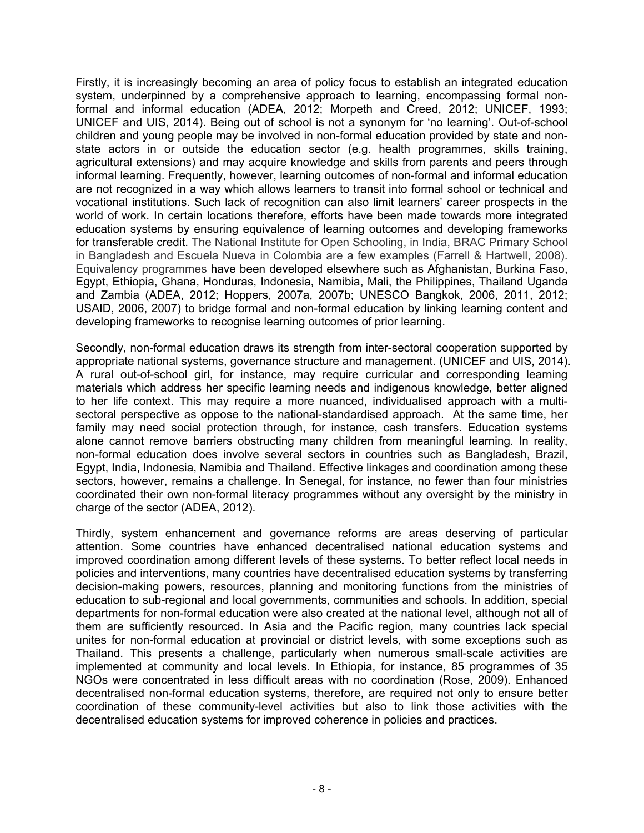Firstly, it is increasingly becoming an area of policy focus to establish an integrated education system, underpinned by a comprehensive approach to learning, encompassing formal nonformal and informal education (ADEA, 2012; Morpeth and Creed, 2012; UNICEF, 1993; UNICEF and UIS, 2014). Being out of school is not a synonym for 'no learning'. Out-of-school children and young people may be involved in non-formal education provided by state and nonstate actors in or outside the education sector (e.g. health programmes, skills training, agricultural extensions) and may acquire knowledge and skills from parents and peers through informal learning. Frequently, however, learning outcomes of non-formal and informal education are not recognized in a way which allows learners to transit into formal school or technical and vocational institutions. Such lack of recognition can also limit learners' career prospects in the world of work. In certain locations therefore, efforts have been made towards more integrated education systems by ensuring equivalence of learning outcomes and developing frameworks for transferable credit. The National Institute for Open Schooling, in India, BRAC Primary School in Bangladesh and Escuela Nueva in Colombia are a few examples (Farrell & Hartwell, 2008). Equivalency programmes have been developed elsewhere such as Afghanistan, Burkina Faso, Egypt, Ethiopia, Ghana, Honduras, Indonesia, Namibia, Mali, the Philippines, Thailand Uganda and Zambia (ADEA, 2012; Hoppers, 2007a, 2007b; UNESCO Bangkok, 2006, 2011, 2012; USAID, 2006, 2007) to bridge formal and non-formal education by linking learning content and developing frameworks to recognise learning outcomes of prior learning.

Secondly, non-formal education draws its strength from inter-sectoral cooperation supported by appropriate national systems, governance structure and management. (UNICEF and UIS, 2014). A rural out-of-school girl, for instance, may require curricular and corresponding learning materials which address her specific learning needs and indigenous knowledge, better aligned to her life context. This may require a more nuanced, individualised approach with a multisectoral perspective as oppose to the national-standardised approach. At the same time, her family may need social protection through, for instance, cash transfers. Education systems alone cannot remove barriers obstructing many children from meaningful learning. In reality, non-formal education does involve several sectors in countries such as Bangladesh, Brazil, Egypt, India, Indonesia, Namibia and Thailand. Effective linkages and coordination among these sectors, however, remains a challenge. In Senegal, for instance, no fewer than four ministries coordinated their own non-formal literacy programmes without any oversight by the ministry in charge of the sector (ADEA, 2012).

Thirdly, system enhancement and governance reforms are areas deserving of particular attention. Some countries have enhanced decentralised national education systems and improved coordination among different levels of these systems. To better reflect local needs in policies and interventions, many countries have decentralised education systems by transferring decision-making powers, resources, planning and monitoring functions from the ministries of education to sub-regional and local governments, communities and schools. In addition, special departments for non-formal education were also created at the national level, although not all of them are sufficiently resourced. In Asia and the Pacific region, many countries lack special unites for non-formal education at provincial or district levels, with some exceptions such as Thailand. This presents a challenge, particularly when numerous small-scale activities are implemented at community and local levels. In Ethiopia, for instance, 85 programmes of 35 NGOs were concentrated in less difficult areas with no coordination (Rose, 2009). Enhanced decentralised non-formal education systems, therefore, are required not only to ensure better coordination of these community-level activities but also to link those activities with the decentralised education systems for improved coherence in policies and practices.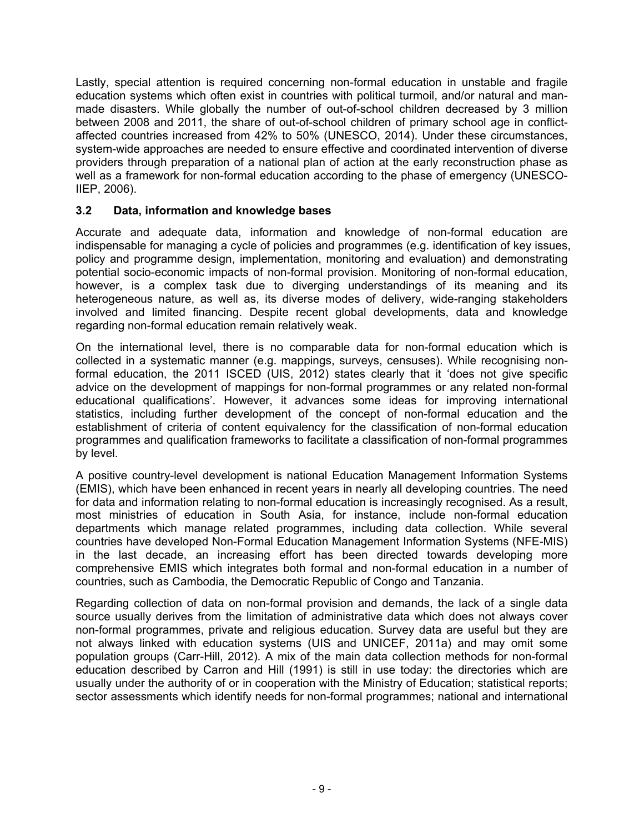Lastly, special attention is required concerning non-formal education in unstable and fragile education systems which often exist in countries with political turmoil, and/or natural and manmade disasters. While globally the number of out-of-school children decreased by 3 million between 2008 and 2011, the share of out-of-school children of primary school age in conflictaffected countries increased from 42% to 50% (UNESCO, 2014). Under these circumstances, system-wide approaches are needed to ensure effective and coordinated intervention of diverse providers through preparation of a national plan of action at the early reconstruction phase as well as a framework for non-formal education according to the phase of emergency (UNESCO-IIEP, 2006).

# **3.2 Data, information and knowledge bases**

Accurate and adequate data, information and knowledge of non-formal education are indispensable for managing a cycle of policies and programmes (e.g. identification of key issues, policy and programme design, implementation, monitoring and evaluation) and demonstrating potential socio-economic impacts of non-formal provision. Monitoring of non-formal education, however, is a complex task due to diverging understandings of its meaning and its heterogeneous nature, as well as, its diverse modes of delivery, wide-ranging stakeholders involved and limited financing. Despite recent global developments, data and knowledge regarding non-formal education remain relatively weak.

On the international level, there is no comparable data for non-formal education which is collected in a systematic manner (e.g. mappings, surveys, censuses). While recognising nonformal education, the 2011 ISCED (UIS, 2012) states clearly that it 'does not give specific advice on the development of mappings for non-formal programmes or any related non-formal educational qualifications'. However, it advances some ideas for improving international statistics, including further development of the concept of non-formal education and the establishment of criteria of content equivalency for the classification of non-formal education programmes and qualification frameworks to facilitate a classification of non-formal programmes by level.

A positive country-level development is national Education Management Information Systems (EMIS), which have been enhanced in recent years in nearly all developing countries. The need for data and information relating to non-formal education is increasingly recognised. As a result, most ministries of education in South Asia, for instance, include non-formal education departments which manage related programmes, including data collection. While several countries have developed Non-Formal Education Management Information Systems (NFE-MIS) in the last decade, an increasing effort has been directed towards developing more comprehensive EMIS which integrates both formal and non-formal education in a number of countries, such as Cambodia, the Democratic Republic of Congo and Tanzania.

Regarding collection of data on non-formal provision and demands, the lack of a single data source usually derives from the limitation of administrative data which does not always cover non-formal programmes, private and religious education. Survey data are useful but they are not always linked with education systems (UIS and UNICEF, 2011a) and may omit some population groups (Carr-Hill, 2012). A mix of the main data collection methods for non-formal education described by Carron and Hill (1991) is still in use today: the directories which are usually under the authority of or in cooperation with the Ministry of Education; statistical reports; sector assessments which identify needs for non-formal programmes; national and international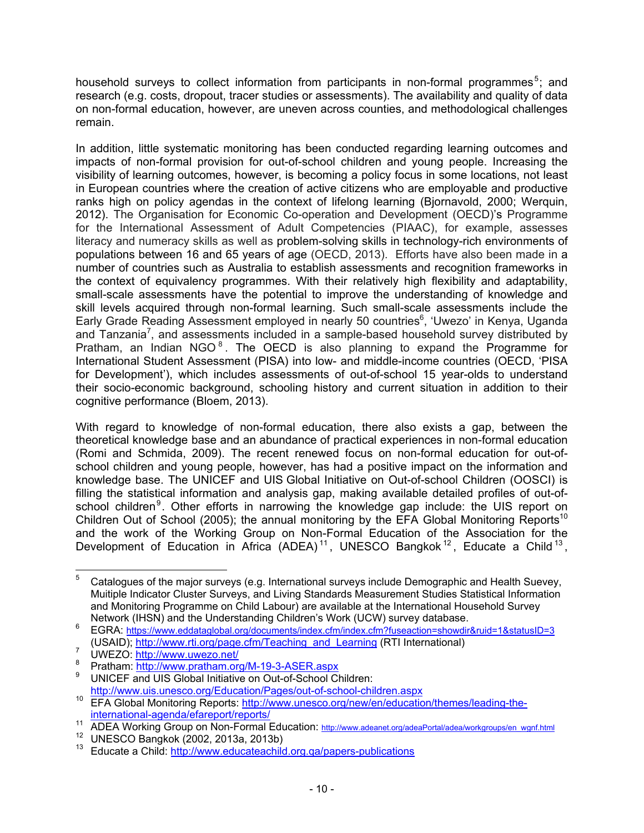household surveys to collect information from participants in non-formal programmes<sup>5</sup>; and research (e.g. costs, dropout, tracer studies or assessments). The availability and quality of data on non-formal education, however, are uneven across counties, and methodological challenges remain.

In addition, little systematic monitoring has been conducted regarding learning outcomes and impacts of non-formal provision for out-of-school children and young people. Increasing the visibility of learning outcomes, however, is becoming a policy focus in some locations, not least in European countries where the creation of active citizens who are employable and productive ranks high on policy agendas in the context of lifelong learning (Bjornavold, 2000; Werquin, 2012). The Organisation for Economic Co-operation and Development (OECD)'s Programme for the International Assessment of Adult Competencies (PIAAC), for example, assesses literacy and numeracy skills as well as problem-solving skills in technology-rich environments of populations between 16 and 65 years of age (OECD, 2013). Efforts have also been made in a number of countries such as Australia to establish assessments and recognition frameworks in the context of equivalency programmes. With their relatively high flexibility and adaptability, small-scale assessments have the potential to improve the understanding of knowledge and skill levels acquired through non-formal learning. Such small-scale assessments include the Early Grade Reading Assessment employed in nearly 50 countries<sup>6</sup>, 'Uwezo' in Kenya, Uganda and Tanzania<sup>7</sup>, and assessments included in a sample-based household survey distributed by Pratham, an Indian NGO $<sup>8</sup>$ . The OECD is also planning to expand the Programme for</sup> International Student Assessment (PISA) into low- and middle-income countries (OECD, 'PISA for Development'), which includes assessments of out-of-school 15 year-olds to understand their socio-economic background, schooling history and current situation in addition to their cognitive performance (Bloem, 2013).

With regard to knowledge of non-formal education, there also exists a gap, between the theoretical knowledge base and an abundance of practical experiences in non-formal education (Romi and Schmida, 2009). The recent renewed focus on non-formal education for out-ofschool children and young people, however, has had a positive impact on the information and knowledge base. The UNICEF and UIS Global Initiative on Out-of-school Children (OOSCI) is filling the statistical information and analysis gap, making available detailed profiles of out-ofschool children<sup>9</sup>. Other efforts in narrowing the knowledge gap include: the UIS report on Children Out of School (2005); the annual monitoring by the EFA Global Monitoring Reports<sup>10</sup> and the work of the Working Group on Non-Formal Education of the Association for the Development of Education in Africa (ADEA)<sup>11</sup>, UNESCO Bangkok<sup>12</sup>, Educate a Child<sup>13</sup>,

<sup>-&</sup>lt;br>5 Catalogues of the major surveys (e.g. International surveys include Demographic and Health Suevey, Muitiple Indicator Cluster Surveys, and Living Standards Measurement Studies Statistical Information and Monitoring Programme on Child Labour) are available at the International Household Survey Network (IHSN) and the Understanding Children's Work (UCW) survey database. 6

EGRA: https://www.eddataglobal.org/documents/index.cfm/index.cfm?fuseaction=showdir&ruid=1&statusID=3 (USAID); http://www.rti.org/page.cfm/Teaching\_and\_Learning (RTI International)

 $\frac{7}{8}$  UWEZO:  $\frac{http://www.uwezo.net/}{http://www.uwezo.net/}}$ 

Pratham: http://www.pratham.org/M-19-3-ASER.aspx 9

UNICEF and UIS Global Initiative on Out-of-School Children:<br>http://www.uis.unesco.org/Education/Pages/out-of-school-children.aspx

http://www.unesco.org/new/en/education/themes/leading-the-<br><sup>10</sup> EFA Global Monitoring Reports: http://www.unesco.org/new/en/education/themes/leading-the-

international-agenda/efareport/reports/<br>
ADEA Working Group on Non-Formal Education: http://www.adeanet.org/adeaPortal/adea/workgroups/en\_wgnf.html<br>
<sup>12</sup> UNESCO Bangkok (2002, 2013a, 2013b)<br>
<sup>13</sup> Educate a Child: http://ww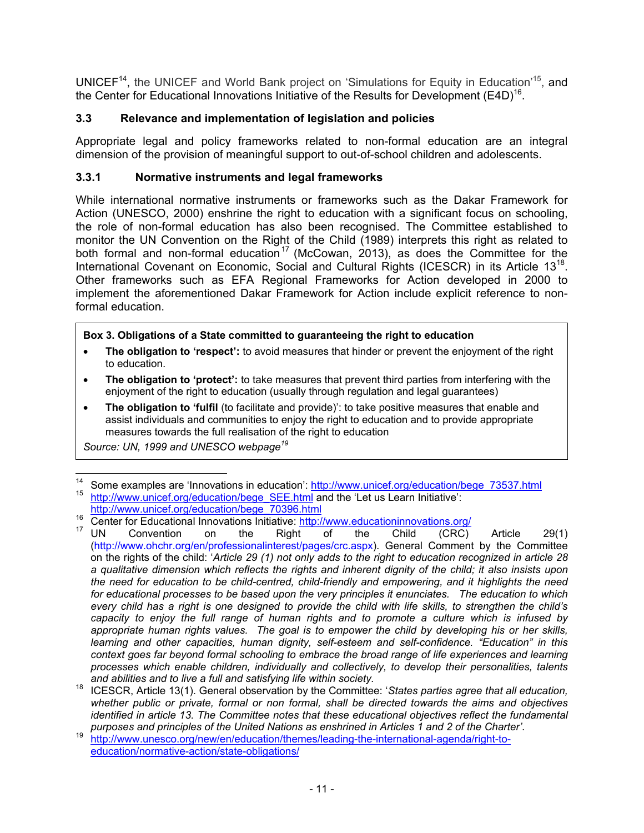UNICEF<sup>14</sup>, the UNICEF and World Bank project on 'Simulations for Equity in Education'<sup>15</sup>, and the Center for Educational Innovations Initiative of the Results for Development (E4D)<sup>16</sup>.

# **3.3 Relevance and implementation of legislation and policies**

Appropriate legal and policy frameworks related to non-formal education are an integral dimension of the provision of meaningful support to out-of-school children and adolescents.

# **3.3.1 Normative instruments and legal frameworks**

While international normative instruments or frameworks such as the Dakar Framework for Action (UNESCO, 2000) enshrine the right to education with a significant focus on schooling, the role of non-formal education has also been recognised. The Committee established to monitor the UN Convention on the Right of the Child (1989) interprets this right as related to both formal and non-formal education<sup>17</sup> (McCowan, 2013), as does the Committee for the International Covenant on Economic, Social and Cultural Rights (ICESCR) in its Article 13<sup>18</sup>. Other frameworks such as EFA Regional Frameworks for Action developed in 2000 to implement the aforementioned Dakar Framework for Action include explicit reference to nonformal education.

# **Box 3. Obligations of a State committed to guaranteeing the right to education**

- **The obligation to 'respect':** to avoid measures that hinder or prevent the enjoyment of the right to education.
- **The obligation to 'protect':** to take measures that prevent third parties from interfering with the enjoyment of the right to education (usually through regulation and legal guarantees)
- **The obligation to 'fulfil** (to facilitate and provide)': to take positive measures that enable and assist individuals and communities to enjoy the right to education and to provide appropriate measures towards the full realisation of the right to education

*Source: UN, 1999 and UNESCO webpage19*

 $14$ <sup>14</sup> Some examples are 'Innovations in education': http://www.unicef.org/education/bege\_73537.html http://www.unicef.org/education/bege\_SEE.html and the 'Let us Learn Initiative':<br>http://www.unicef.org/education/bege\_7039

 $\frac{16}{16}$  Center for Educational Innovations Initiative: http://www.educationinnovations.org/<br>  $\frac{17}{17}$  UN Convention on the Right of the Child (CRC) Article 29(1) (http://www.ohchr.org/en/professionalinterest/pages/crc.aspx). General Comment by the Committee on the rights of the child: '*Article 29 (1) not only adds to the right to education recognized in article 28 a qualitative dimension which reflects the rights and inherent dignity of the child; it also insists upon the need for education to be child-centred, child-friendly and empowering, and it highlights the need for educational processes to be based upon the very principles it enunciates. The education to which every child has a right is one designed to provide the child with life skills, to strengthen the child's capacity to enjoy the full range of human rights and to promote a culture which is infused by appropriate human rights values. The goal is to empower the child by developing his or her skills, learning and other capacities, human dignity, self-esteem and self-confidence. "Education" in this context goes far beyond formal schooling to embrace the broad range of life experiences and learning processes which enable children, individually and collectively, to develop their personalities, talents* 

*and abilities and to live a full and satisfying life within society.* 18 ICESCR, Article 13(1). General observation by the Committee: '*States parties agree that all education, whether public or private, formal or non formal, shall be directed towards the aims and objectives identified in article 13. The Committee notes that these educational objectives reflect the fundamental* 

*purposes and principles of the United Nations as enshrined in Articles 1 and 2 of the Charter'*. 19 http://www.unesco.org/new/en/education/themes/leading-the-international-agenda/right-toeducation/normative-action/state-obligations/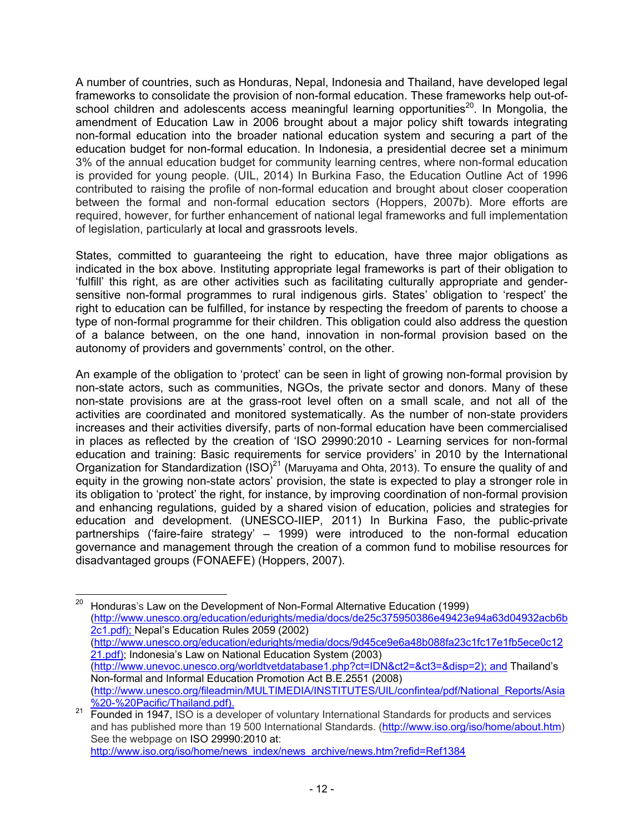A number of countries, such as Honduras, Nepal, Indonesia and Thailand, have developed legal frameworks to consolidate the provision of non-formal education. These frameworks help out-ofschool children and adolescents access meaningful learning opportunities<sup>20</sup>. In Mongolia, the amendment of Education Law in 2006 brought about a major policy shift towards integrating non-formal education into the broader national education system and securing a part of the education budget for non-formal education. In Indonesia, a presidential decree set a minimum 3% of the annual education budget for community learning centres, where non-formal education is provided for young people. (UIL, 2014) In Burkina Faso, the Education Outline Act of 1996 contributed to raising the profile of non-formal education and brought about closer cooperation between the formal and non-formal education sectors (Hoppers, 2007b). More efforts are required, however, for further enhancement of national legal frameworks and full implementation of legislation, particularly at local and grassroots levels.

States, committed to guaranteeing the right to education, have three major obligations as indicated in the box above. Instituting appropriate legal frameworks is part of their obligation to 'fulfill' this right, as are other activities such as facilitating culturally appropriate and gendersensitive non-formal programmes to rural indigenous girls. States' obligation to 'respect' the right to education can be fulfilled, for instance by respecting the freedom of parents to choose a type of non-formal programme for their children. This obligation could also address the question of a balance between, on the one hand, innovation in non-formal provision based on the autonomy of providers and governments' control, on the other.

An example of the obligation to 'protect' can be seen in light of growing non-formal provision by non-state actors, such as communities, NGOs, the private sector and donors. Many of these non-state provisions are at the grass-root level often on a small scale, and not all of the activities are coordinated and monitored systematically. As the number of non-state providers increases and their activities diversify, parts of non-formal education have been commercialised in places as reflected by the creation of 'ISO 29990:2010 - Learning services for non-formal education and training: Basic requirements for service providers' in 2010 by the International Organization for Standardization  $(ISO)^{21}$  (Maruyama and Ohta, 2013). To ensure the quality of and equity in the growing non-state actors' provision, the state is expected to play a stronger role in its obligation to 'protect' the right, for instance, by improving coordination of non-formal provision and enhancing regulations, guided by a shared vision of education, policies and strategies for education and development. (UNESCO-IIEP, 2011) In Burkina Faso, the public-private partnerships ('faire-faire strategy' – 1999) were introduced to the non-formal education governance and management through the creation of a common fund to mobilise resources for disadvantaged groups (FONAEFE) (Hoppers, 2007).

- 12 -

 $20\,$ 20 Honduras's Law on the Development of Non-Formal Alternative Education (1999) (http://www.unesco.org/education/edurights/media/docs/de25c375950386e49423e94a63d04932acb6b 2c1.pdf); Nepal's Education Rules 2059 (2002) (http://www.unesco.org/education/edurights/media/docs/9d45ce9e6a48b088fa23c1fc17e1fb5ece0c12 21.pdf); Indonesia's Law on National Education System (2003) (http://www.unevoc.unesco.org/worldtvetdatabase1.php?ct=IDN&ct2=&ct3=&disp=2); and Thailand's Non-formal and Informal Education Promotion Act B.E.2551 (2008) (http://www.unesco.org/fileadmin/MULTIMEDIA/INSTITUTES/UIL/confintea/pdf/National\_Reports/Asia

<sup>%20-%20</sup>Pacific/Thailand.pdf).<br>Founded in 1947, ISO is a developer of voluntary International Standards for products and services and has published more than 19 500 International Standards. (http://www.iso.org/iso/home/about.htm) See the webpage on ISO 29990:2010 at: http://www.iso.org/iso/home/news\_index/news\_archive/news.htm?refid=Ref1384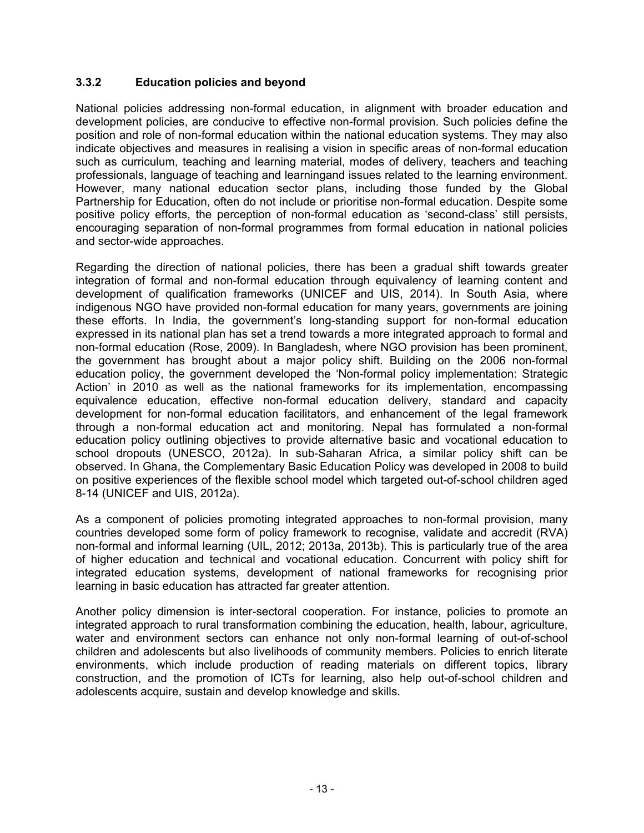# **3.3.2 Education policies and beyond**

National policies addressing non-formal education, in alignment with broader education and development policies, are conducive to effective non-formal provision. Such policies define the position and role of non-formal education within the national education systems. They may also indicate objectives and measures in realising a vision in specific areas of non-formal education such as curriculum, teaching and learning material, modes of delivery, teachers and teaching professionals, language of teaching and learningand issues related to the learning environment. However, many national education sector plans, including those funded by the Global Partnership for Education, often do not include or prioritise non-formal education. Despite some positive policy efforts, the perception of non-formal education as 'second-class' still persists, encouraging separation of non-formal programmes from formal education in national policies and sector-wide approaches.

Regarding the direction of national policies, there has been a gradual shift towards greater integration of formal and non-formal education through equivalency of learning content and development of qualification frameworks (UNICEF and UIS, 2014). In South Asia, where indigenous NGO have provided non-formal education for many years, governments are joining these efforts. In India, the government's long-standing support for non-formal education expressed in its national plan has set a trend towards a more integrated approach to formal and non-formal education (Rose, 2009). In Bangladesh, where NGO provision has been prominent, the government has brought about a major policy shift. Building on the 2006 non-formal education policy, the government developed the 'Non-formal policy implementation: Strategic Action' in 2010 as well as the national frameworks for its implementation, encompassing equivalence education, effective non-formal education delivery, standard and capacity development for non-formal education facilitators, and enhancement of the legal framework through a non-formal education act and monitoring. Nepal has formulated a non-formal education policy outlining objectives to provide alternative basic and vocational education to school dropouts (UNESCO, 2012a). In sub-Saharan Africa, a similar policy shift can be observed. In Ghana, the Complementary Basic Education Policy was developed in 2008 to build on positive experiences of the flexible school model which targeted out-of-school children aged 8-14 (UNICEF and UIS, 2012a).

As a component of policies promoting integrated approaches to non-formal provision, many countries developed some form of policy framework to recognise, validate and accredit (RVA) non-formal and informal learning (UIL, 2012; 2013a, 2013b). This is particularly true of the area of higher education and technical and vocational education. Concurrent with policy shift for integrated education systems, development of national frameworks for recognising prior learning in basic education has attracted far greater attention.

Another policy dimension is inter-sectoral cooperation. For instance, policies to promote an integrated approach to rural transformation combining the education, health, labour, agriculture, water and environment sectors can enhance not only non-formal learning of out-of-school children and adolescents but also livelihoods of community members. Policies to enrich literate environments, which include production of reading materials on different topics, library construction, and the promotion of ICTs for learning, also help out-of-school children and adolescents acquire, sustain and develop knowledge and skills.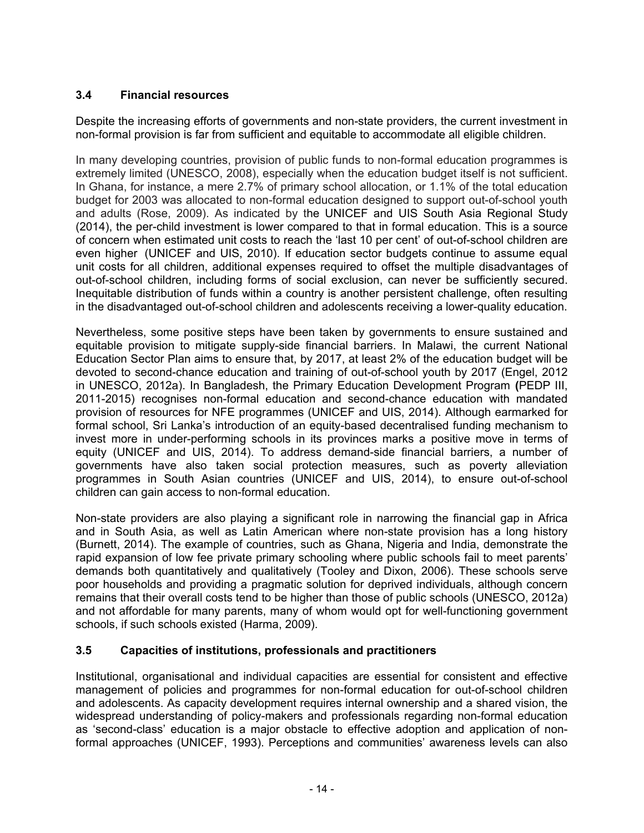# **3.4 Financial resources**

Despite the increasing efforts of governments and non-state providers, the current investment in non-formal provision is far from sufficient and equitable to accommodate all eligible children.

In many developing countries, provision of public funds to non-formal education programmes is extremely limited (UNESCO, 2008), especially when the education budget itself is not sufficient. In Ghana, for instance, a mere 2.7% of primary school allocation, or 1.1% of the total education budget for 2003 was allocated to non-formal education designed to support out-of-school youth and adults (Rose, 2009). As indicated by the UNICEF and UIS South Asia Regional Study (2014), the per-child investment is lower compared to that in formal education. This is a source of concern when estimated unit costs to reach the 'last 10 per cent' of out-of-school children are even higher (UNICEF and UIS, 2010). If education sector budgets continue to assume equal unit costs for all children, additional expenses required to offset the multiple disadvantages of out-of-school children, including forms of social exclusion, can never be sufficiently secured. Inequitable distribution of funds within a country is another persistent challenge, often resulting in the disadvantaged out-of-school children and adolescents receiving a lower-quality education.

Nevertheless, some positive steps have been taken by governments to ensure sustained and equitable provision to mitigate supply-side financial barriers. In Malawi, the current National Education Sector Plan aims to ensure that, by 2017, at least 2% of the education budget will be devoted to second-chance education and training of out-of-school youth by 2017 (Engel, 2012 in UNESCO, 2012a). In Bangladesh, the Primary Education Development Program **(**PEDP III, 2011-2015) recognises non-formal education and second-chance education with mandated provision of resources for NFE programmes (UNICEF and UIS, 2014). Although earmarked for formal school, Sri Lanka's introduction of an equity-based decentralised funding mechanism to invest more in under-performing schools in its provinces marks a positive move in terms of equity (UNICEF and UIS, 2014). To address demand-side financial barriers, a number of governments have also taken social protection measures, such as poverty alleviation programmes in South Asian countries (UNICEF and UIS, 2014), to ensure out-of-school children can gain access to non-formal education.

Non-state providers are also playing a significant role in narrowing the financial gap in Africa and in South Asia, as well as Latin American where non-state provision has a long history (Burnett, 2014). The example of countries, such as Ghana, Nigeria and India, demonstrate the rapid expansion of low fee private primary schooling where public schools fail to meet parents' demands both quantitatively and qualitatively (Tooley and Dixon, 2006). These schools serve poor households and providing a pragmatic solution for deprived individuals, although concern remains that their overall costs tend to be higher than those of public schools (UNESCO, 2012a) and not affordable for many parents, many of whom would opt for well-functioning government schools, if such schools existed (Harma, 2009).

# **3.5 Capacities of institutions, professionals and practitioners**

Institutional, organisational and individual capacities are essential for consistent and effective management of policies and programmes for non-formal education for out-of-school children and adolescents. As capacity development requires internal ownership and a shared vision, the widespread understanding of policy-makers and professionals regarding non-formal education as 'second-class' education is a major obstacle to effective adoption and application of nonformal approaches (UNICEF, 1993). Perceptions and communities' awareness levels can also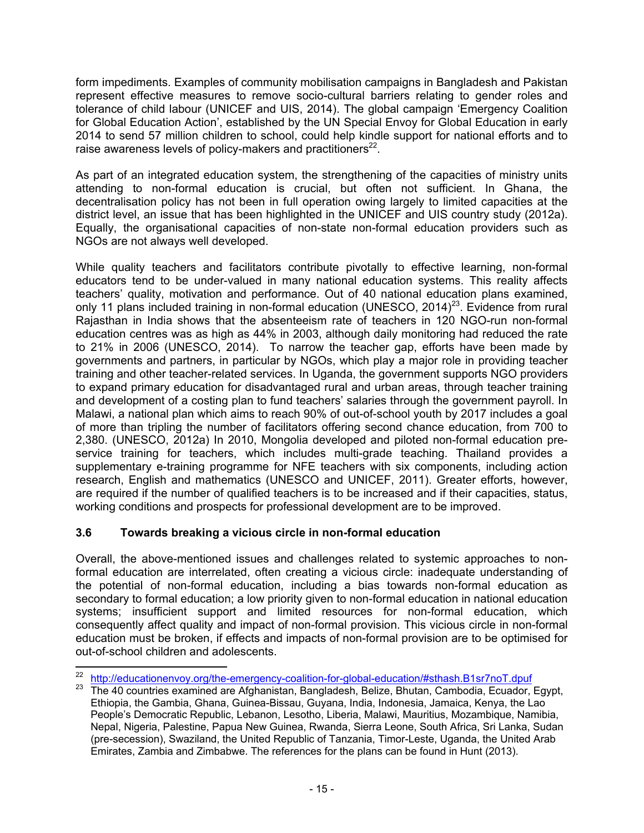form impediments. Examples of community mobilisation campaigns in Bangladesh and Pakistan represent effective measures to remove socio-cultural barriers relating to gender roles and tolerance of child labour (UNICEF and UIS, 2014). The global campaign 'Emergency Coalition for Global Education Action', established by the UN Special Envoy for Global Education in early 2014 to send 57 million children to school, could help kindle support for national efforts and to raise awareness levels of policy-makers and practitioners $^{22}$ .

As part of an integrated education system, the strengthening of the capacities of ministry units attending to non-formal education is crucial, but often not sufficient. In Ghana, the decentralisation policy has not been in full operation owing largely to limited capacities at the district level, an issue that has been highlighted in the UNICEF and UIS country study (2012a). Equally, the organisational capacities of non-state non-formal education providers such as NGOs are not always well developed.

While quality teachers and facilitators contribute pivotally to effective learning, non-formal educators tend to be under-valued in many national education systems. This reality affects teachers' quality, motivation and performance. Out of 40 national education plans examined, only 11 plans included training in non-formal education (UNESCO, 2014)<sup>23</sup>. Evidence from rural Rajasthan in India shows that the absenteeism rate of teachers in 120 NGO-run non-formal education centres was as high as 44% in 2003, although daily monitoring had reduced the rate to 21% in 2006 (UNESCO, 2014). To narrow the teacher gap, efforts have been made by governments and partners, in particular by NGOs, which play a major role in providing teacher training and other teacher-related services. In Uganda, the government supports NGO providers to expand primary education for disadvantaged rural and urban areas, through teacher training and development of a costing plan to fund teachers' salaries through the government payroll. In Malawi, a national plan which aims to reach 90% of out-of-school youth by 2017 includes a goal of more than tripling the number of facilitators offering second chance education, from 700 to 2,380. (UNESCO, 2012a) In 2010, Mongolia developed and piloted non-formal education preservice training for teachers, which includes multi-grade teaching. Thailand provides a supplementary e-training programme for NFE teachers with six components, including action research, English and mathematics (UNESCO and UNICEF, 2011). Greater efforts, however, are required if the number of qualified teachers is to be increased and if their capacities, status, working conditions and prospects for professional development are to be improved.

# **3.6 Towards breaking a vicious circle in non-formal education**

Overall, the above-mentioned issues and challenges related to systemic approaches to nonformal education are interrelated, often creating a vicious circle: inadequate understanding of the potential of non-formal education, including a bias towards non-formal education as secondary to formal education; a low priority given to non-formal education in national education systems; insufficient support and limited resources for non-formal education, which consequently affect quality and impact of non-formal provision. This vicious circle in non-formal education must be broken, if effects and impacts of non-formal provision are to be optimised for out-of-school children and adolescents.

<sup>22</sup> 

<sup>&</sup>lt;sup>22</sup> http://educationenvoy.org/the-emergency-coalition-for-global-education/#sthash.B1sr7noT.dpuf<br><sup>23</sup> The 40 countries examined are Afghanistan, Bangladesh, Belize, Bhutan, Cambodia, Ecuador, Egypt, Ethiopia, the Gambia, Ghana, Guinea-Bissau, Guyana, India, Indonesia, Jamaica, Kenya, the Lao People's Democratic Republic, Lebanon, Lesotho, Liberia, Malawi, Mauritius, Mozambique, Namibia, Nepal, Nigeria, Palestine, Papua New Guinea, Rwanda, Sierra Leone, South Africa, Sri Lanka, Sudan (pre-secession), Swaziland, the United Republic of Tanzania, Timor-Leste, Uganda, the United Arab Emirates, Zambia and Zimbabwe. The references for the plans can be found in Hunt (2013).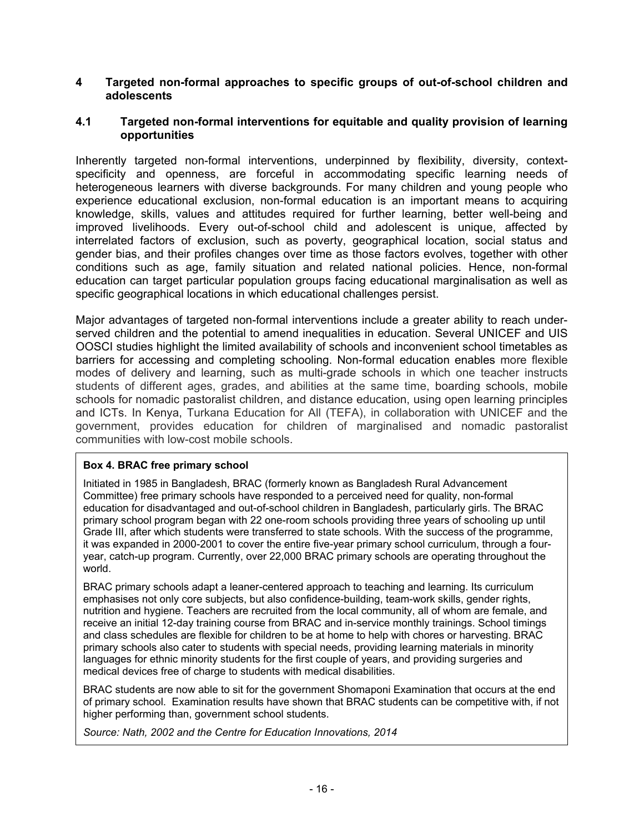## **4 Targeted non-formal approaches to specific groups of out-of-school children and adolescents**

## **4.1 Targeted non-formal interventions for equitable and quality provision of learning opportunities**

Inherently targeted non-formal interventions, underpinned by flexibility, diversity, contextspecificity and openness, are forceful in accommodating specific learning needs of heterogeneous learners with diverse backgrounds. For many children and young people who experience educational exclusion, non-formal education is an important means to acquiring knowledge, skills, values and attitudes required for further learning, better well-being and improved livelihoods. Every out-of-school child and adolescent is unique, affected by interrelated factors of exclusion, such as poverty, geographical location, social status and gender bias, and their profiles changes over time as those factors evolves, together with other conditions such as age, family situation and related national policies. Hence, non-formal education can target particular population groups facing educational marginalisation as well as specific geographical locations in which educational challenges persist.

Major advantages of targeted non-formal interventions include a greater ability to reach underserved children and the potential to amend inequalities in education. Several UNICEF and UIS OOSCI studies highlight the limited availability of schools and inconvenient school timetables as barriers for accessing and completing schooling. Non-formal education enables more flexible modes of delivery and learning, such as multi-grade schools in which one teacher instructs students of different ages, grades, and abilities at the same time, boarding schools, mobile schools for nomadic pastoralist children, and distance education, using open learning principles and ICTs. In Kenya, Turkana Education for All (TEFA), in collaboration with UNICEF and the government, provides education for children of marginalised and nomadic pastoralist communities with low-cost mobile schools.

# **Box 4. BRAC free primary school**

Initiated in 1985 in Bangladesh, BRAC (formerly known as Bangladesh Rural Advancement Committee) free primary schools have responded to a perceived need for quality, non-formal education for disadvantaged and out-of-school children in Bangladesh, particularly girls. The BRAC primary school program began with 22 one-room schools providing three years of schooling up until Grade III, after which students were transferred to state schools. With the success of the programme, it was expanded in 2000-2001 to cover the entire five-year primary school curriculum, through a fouryear, catch-up program. Currently, over 22,000 BRAC primary schools are operating throughout the world.

BRAC primary schools adapt a leaner-centered approach to teaching and learning. Its curriculum emphasises not only core subjects, but also confidence-building, team-work skills, gender rights, nutrition and hygiene. Teachers are recruited from the local community, all of whom are female, and receive an initial 12-day training course from BRAC and in-service monthly trainings. School timings and class schedules are flexible for children to be at home to help with chores or harvesting. BRAC primary schools also cater to students with special needs, providing learning materials in minority languages for ethnic minority students for the first couple of years, and providing surgeries and medical devices free of charge to students with medical disabilities.

BRAC students are now able to sit for the government Shomaponi Examination that occurs at the end of primary school. Examination results have shown that BRAC students can be competitive with, if not higher performing than, government school students.

*Source: Nath, 2002 and the Centre for Education Innovations, 2014*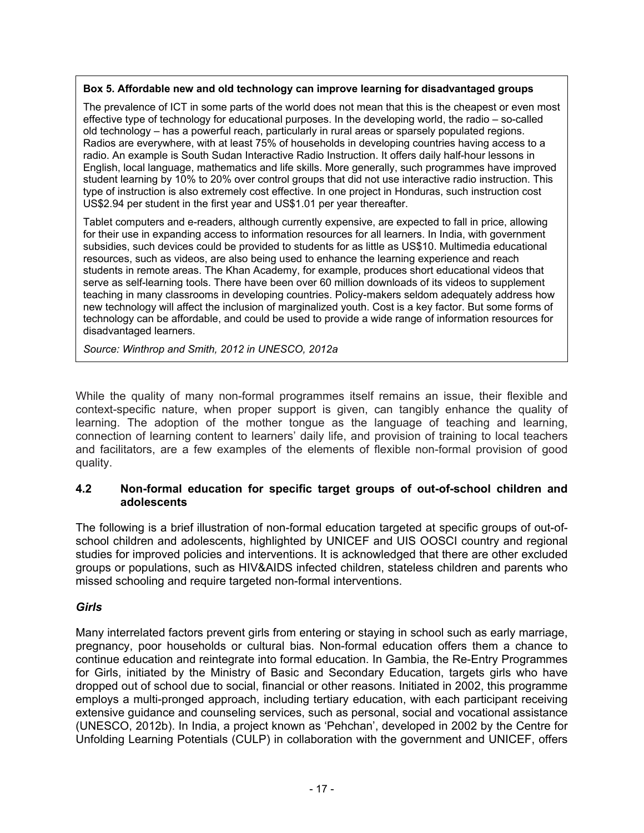#### **Box 5. Affordable new and old technology can improve learning for disadvantaged groups**

The prevalence of ICT in some parts of the world does not mean that this is the cheapest or even most effective type of technology for educational purposes. In the developing world, the radio – so-called old technology – has a powerful reach, particularly in rural areas or sparsely populated regions. Radios are everywhere, with at least 75% of households in developing countries having access to a radio. An example is South Sudan Interactive Radio Instruction. It offers daily half-hour lessons in English, local language, mathematics and life skills. More generally, such programmes have improved student learning by 10% to 20% over control groups that did not use interactive radio instruction. This type of instruction is also extremely cost effective. In one project in Honduras, such instruction cost US\$2.94 per student in the first year and US\$1.01 per year thereafter.

Tablet computers and e-readers, although currently expensive, are expected to fall in price, allowing for their use in expanding access to information resources for all learners. In India, with government subsidies, such devices could be provided to students for as little as US\$10. Multimedia educational resources, such as videos, are also being used to enhance the learning experience and reach students in remote areas. The Khan Academy, for example, produces short educational videos that serve as self-learning tools. There have been over 60 million downloads of its videos to supplement teaching in many classrooms in developing countries. Policy-makers seldom adequately address how new technology will affect the inclusion of marginalized youth. Cost is a key factor. But some forms of technology can be affordable, and could be used to provide a wide range of information resources for disadvantaged learners.

*Source: Winthrop and Smith, 2012 in UNESCO, 2012a*

While the quality of many non-formal programmes itself remains an issue, their flexible and context-specific nature, when proper support is given, can tangibly enhance the quality of learning. The adoption of the mother tongue as the language of teaching and learning, connection of learning content to learners' daily life, and provision of training to local teachers and facilitators, are a few examples of the elements of flexible non-formal provision of good quality.

# **4.2 Non-formal education for specific target groups of out-of-school children and adolescents**

The following is a brief illustration of non-formal education targeted at specific groups of out-ofschool children and adolescents, highlighted by UNICEF and UIS OOSCI country and regional studies for improved policies and interventions. It is acknowledged that there are other excluded groups or populations, such as HIV&AIDS infected children, stateless children and parents who missed schooling and require targeted non-formal interventions.

# *Girls*

Many interrelated factors prevent girls from entering or staying in school such as early marriage, pregnancy, poor households or cultural bias. Non-formal education offers them a chance to continue education and reintegrate into formal education. In Gambia, the Re-Entry Programmes for Girls, initiated by the Ministry of Basic and Secondary Education, targets girls who have dropped out of school due to social, financial or other reasons. Initiated in 2002, this programme employs a multi-pronged approach, including tertiary education, with each participant receiving extensive guidance and counseling services, such as personal, social and vocational assistance (UNESCO, 2012b). In India, a project known as 'Pehchan', developed in 2002 by the Centre for Unfolding Learning Potentials (CULP) in collaboration with the government and UNICEF, offers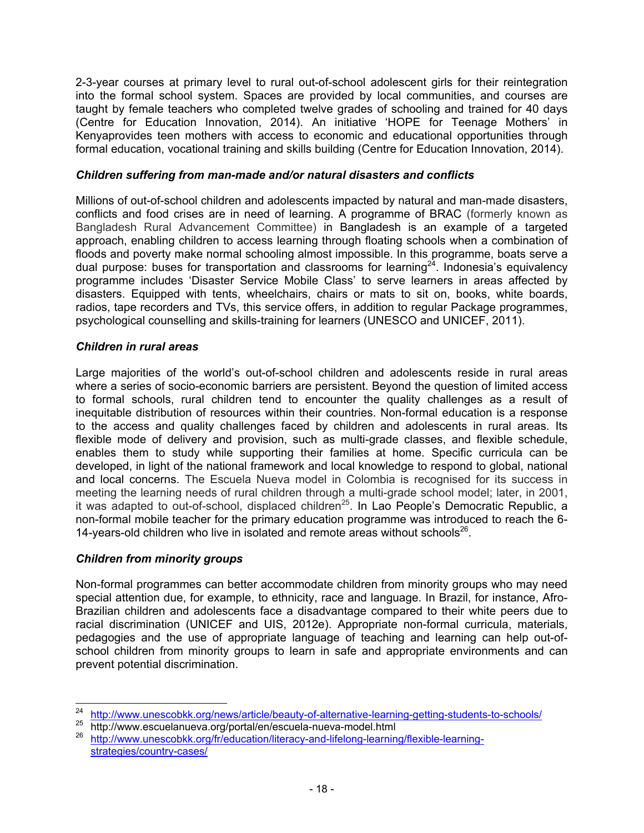2-3-year courses at primary level to rural out-of-school adolescent girls for their reintegration into the formal school system. Spaces are provided by local communities, and courses are taught by female teachers who completed twelve grades of schooling and trained for 40 days (Centre for Education Innovation, 2014). An initiative 'HOPE for Teenage Mothers' in Kenyaprovides teen mothers with access to economic and educational opportunities through formal education, vocational training and skills building (Centre for Education Innovation, 2014).

# *Children suffering from man-made and/or natural disasters and conflicts*

Millions of out-of-school children and adolescents impacted by natural and man-made disasters, conflicts and food crises are in need of learning. A programme of BRAC (formerly known as Bangladesh Rural Advancement Committee) in Bangladesh is an example of a targeted approach, enabling children to access learning through floating schools when a combination of floods and poverty make normal schooling almost impossible. In this programme, boats serve a dual purpose: buses for transportation and classrooms for learning<sup>24</sup>. Indonesia's equivalency programme includes 'Disaster Service Mobile Class' to serve learners in areas affected by disasters. Equipped with tents, wheelchairs, chairs or mats to sit on, books, white boards, radios, tape recorders and TVs, this service offers, in addition to regular Package programmes, psychological counselling and skills-training for learners (UNESCO and UNICEF, 2011).

#### *Children in rural areas*

Large majorities of the world's out-of-school children and adolescents reside in rural areas where a series of socio-economic barriers are persistent. Beyond the question of limited access to formal schools, rural children tend to encounter the quality challenges as a result of inequitable distribution of resources within their countries. Non-formal education is a response to the access and quality challenges faced by children and adolescents in rural areas. Its flexible mode of delivery and provision, such as multi-grade classes, and flexible schedule, enables them to study while supporting their families at home. Specific curricula can be developed, in light of the national framework and local knowledge to respond to global, national and local concerns. The Escuela Nueva model in Colombia is recognised for its success in meeting the learning needs of rural children through a multi-grade school model; later, in 2001, it was adapted to out-of-school, displaced children<sup>25</sup>. In Lao People's Democratic Republic, a non-formal mobile teacher for the primary education programme was introduced to reach the 6- 14-years-old children who live in isolated and remote areas without schools $^{26}$ .

# *Children from minority groups*

Non-formal programmes can better accommodate children from minority groups who may need special attention due, for example, to ethnicity, race and language. In Brazil, for instance, Afro-Brazilian children and adolescents face a disadvantage compared to their white peers due to racial discrimination (UNICEF and UIS, 2012e). Appropriate non-formal curricula, materials, pedagogies and the use of appropriate language of teaching and learning can help out-ofschool children from minority groups to learn in safe and appropriate environments and can prevent potential discrimination.

 $24$ <sup>24</sup> http://www.unescobkk.org/news/article/beauty-of-alternative-learning-getting-students-to-schools/<br><sup>25</sup> http://www.escuelanueva.org/portal/en/escuela-nueva-model.html

<sup>26</sup> http://www.unescobkk.org/fr/education/literacy-and-lifelong-learning/flexible-learningstrategies/country-cases/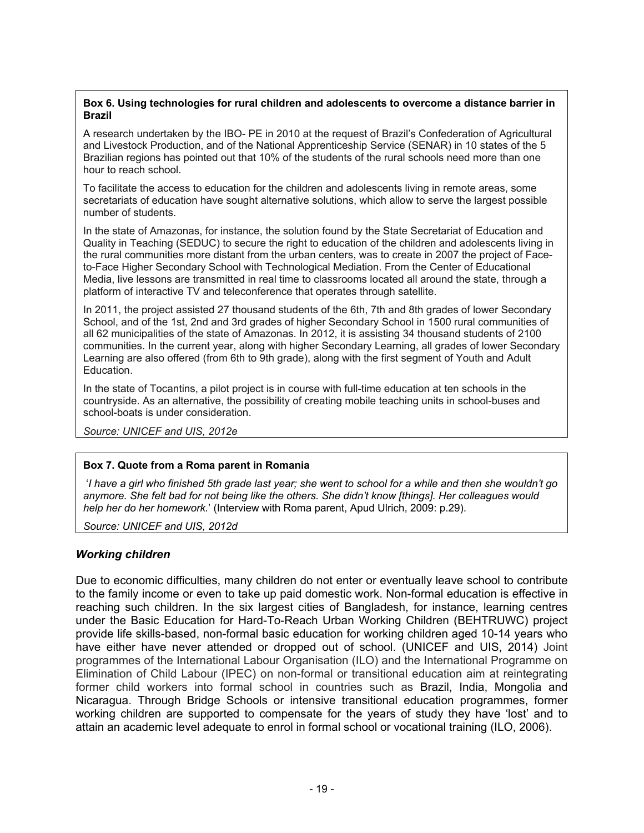#### **Box 6. Using technologies for rural children and adolescents to overcome a distance barrier in Brazil**

A research undertaken by the IBO- PE in 2010 at the request of Brazil's Confederation of Agricultural and Livestock Production, and of the National Apprenticeship Service (SENAR) in 10 states of the 5 Brazilian regions has pointed out that 10% of the students of the rural schools need more than one hour to reach school.

To facilitate the access to education for the children and adolescents living in remote areas, some secretariats of education have sought alternative solutions, which allow to serve the largest possible number of students.

In the state of Amazonas, for instance, the solution found by the State Secretariat of Education and Quality in Teaching (SEDUC) to secure the right to education of the children and adolescents living in the rural communities more distant from the urban centers, was to create in 2007 the project of Faceto-Face Higher Secondary School with Technological Mediation. From the Center of Educational Media, live lessons are transmitted in real time to classrooms located all around the state, through a platform of interactive TV and teleconference that operates through satellite.

In 2011, the project assisted 27 thousand students of the 6th, 7th and 8th grades of lower Secondary School, and of the 1st, 2nd and 3rd grades of higher Secondary School in 1500 rural communities of all 62 municipalities of the state of Amazonas. In 2012, it is assisting 34 thousand students of 2100 communities. In the current year, along with higher Secondary Learning, all grades of lower Secondary Learning are also offered (from 6th to 9th grade), along with the first segment of Youth and Adult Education.

In the state of Tocantins, a pilot project is in course with full-time education at ten schools in the countryside. As an alternative, the possibility of creating mobile teaching units in school-buses and school-boats is under consideration.

*Source: UNICEF and UIS, 2012e*

# **Box 7. Quote from a Roma parent in Romania**

 '*I have a girl who finished 5th grade last year; she went to school for a while and then she wouldn't go anymore. She felt bad for not being like the others. She didn't know [things]. Her colleagues would help her do her homework.*' (Interview with Roma parent, Apud Ulrich, 2009: p.29).

*Source: UNICEF and UIS, 2012d*

# *Working children*

Due to economic difficulties, many children do not enter or eventually leave school to contribute to the family income or even to take up paid domestic work. Non-formal education is effective in reaching such children. In the six largest cities of Bangladesh, for instance, learning centres under the Basic Education for Hard-To-Reach Urban Working Children (BEHTRUWC) project provide life skills-based, non-formal basic education for working children aged 10-14 years who have either have never attended or dropped out of school. (UNICEF and UIS, 2014) Joint programmes of the International Labour Organisation (ILO) and the International Programme on Elimination of Child Labour (IPEC) on non-formal or transitional education aim at reintegrating former child workers into formal school in countries such as Brazil, India, Mongolia and Nicaragua. Through Bridge Schools or intensive transitional education programmes, former working children are supported to compensate for the years of study they have 'lost' and to attain an academic level adequate to enrol in formal school or vocational training (ILO, 2006).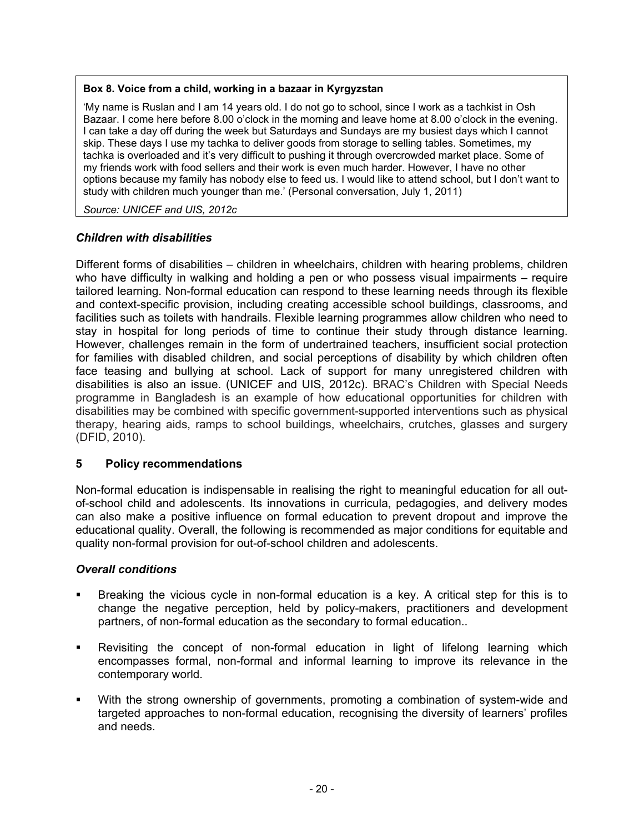#### **Box 8. Voice from a child, working in a bazaar in Kyrgyzstan**

'My name is Ruslan and I am 14 years old. I do not go to school, since I work as a tachkist in Osh Bazaar. I come here before 8.00 o'clock in the morning and leave home at 8.00 o'clock in the evening. I can take a day off during the week but Saturdays and Sundays are my busiest days which I cannot skip. These days I use my tachka to deliver goods from storage to selling tables. Sometimes, my tachka is overloaded and it's very difficult to pushing it through overcrowded market place. Some of my friends work with food sellers and their work is even much harder. However, I have no other options because my family has nobody else to feed us. I would like to attend school, but I don't want to study with children much younger than me.' (Personal conversation, July 1, 2011)

*Source: UNICEF and UIS, 2012c* 

# *Children with disabilities*

Different forms of disabilities – children in wheelchairs, children with hearing problems, children who have difficulty in walking and holding a pen or who possess visual impairments – require tailored learning. Non-formal education can respond to these learning needs through its flexible and context-specific provision, including creating accessible school buildings, classrooms, and facilities such as toilets with handrails. Flexible learning programmes allow children who need to stay in hospital for long periods of time to continue their study through distance learning. However, challenges remain in the form of undertrained teachers, insufficient social protection for families with disabled children, and social perceptions of disability by which children often face teasing and bullying at school. Lack of support for many unregistered children with disabilities is also an issue. (UNICEF and UIS, 2012c). BRAC's Children with Special Needs programme in Bangladesh is an example of how educational opportunities for children with disabilities may be combined with specific government-supported interventions such as physical therapy, hearing aids, ramps to school buildings, wheelchairs, crutches, glasses and surgery (DFID, 2010).

# **5 Policy recommendations**

Non-formal education is indispensable in realising the right to meaningful education for all outof-school child and adolescents. Its innovations in curricula, pedagogies, and delivery modes can also make a positive influence on formal education to prevent dropout and improve the educational quality. Overall, the following is recommended as major conditions for equitable and quality non-formal provision for out-of-school children and adolescents.

# *Overall conditions*

- Breaking the vicious cycle in non-formal education is a key. A critical step for this is to change the negative perception, held by policy-makers, practitioners and development partners, of non-formal education as the secondary to formal education..
- Revisiting the concept of non-formal education in light of lifelong learning which encompasses formal, non-formal and informal learning to improve its relevance in the contemporary world.
- With the strong ownership of governments, promoting a combination of system-wide and targeted approaches to non-formal education, recognising the diversity of learners' profiles and needs.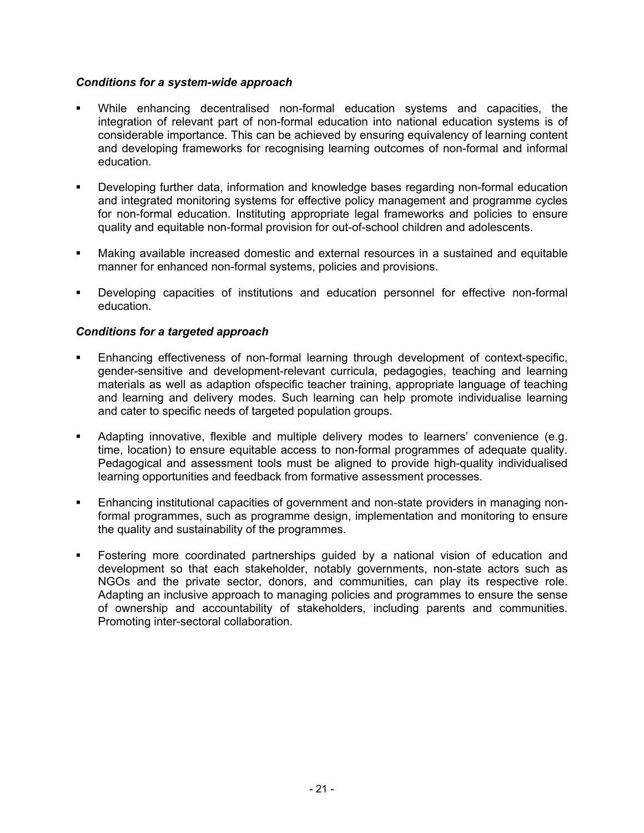# *Conditions for a system-wide approach*

- While enhancing decentralised non-formal education systems and capacities, the integration of relevant part of non-formal education into national education systems is of considerable importance. This can be achieved by ensuring equivalency of learning content and developing frameworks for recognising learning outcomes of non-formal and informal education.
- Developing further data, information and knowledge bases regarding non-formal education and integrated monitoring systems for effective policy management and programme cycles for non-formal education. Instituting appropriate legal frameworks and policies to ensure quality and equitable non-formal provision for out-of-school children and adolescents.
- Making available increased domestic and external resources in a sustained and equitable manner for enhanced non-formal systems, policies and provisions.
- Developing capacities of institutions and education personnel for effective non-formal education.

# *Conditions for a targeted approach*

- Enhancing effectiveness of non-formal learning through development of context-specific, gender-sensitive and development-relevant curricula, pedagogies, teaching and learning materials as well as adaption ofspecific teacher training, appropriate language of teaching and learning and delivery modes. Such learning can help promote individualise learning and cater to specific needs of targeted population groups.
- Adapting innovative, flexible and multiple delivery modes to learners' convenience (e.g. time, location) to ensure equitable access to non-formal programmes of adequate quality. Pedagogical and assessment tools must be aligned to provide high-quality individualised learning opportunities and feedback from formative assessment processes.
- Enhancing institutional capacities of government and non-state providers in managing nonformal programmes, such as programme design, implementation and monitoring to ensure the quality and sustainability of the programmes.
- Fostering more coordinated partnerships guided by a national vision of education and development so that each stakeholder, notably governments, non-state actors such as NGOs and the private sector, donors, and communities, can play its respective role. Adapting an inclusive approach to managing policies and programmes to ensure the sense of ownership and accountability of stakeholders, including parents and communities. Promoting inter-sectoral collaboration.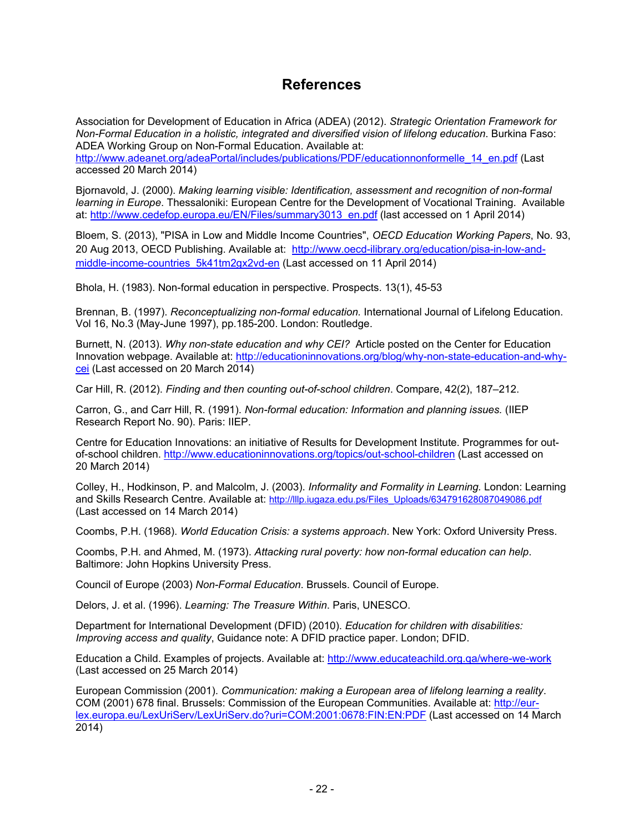# **References**

Association for Development of Education in Africa (ADEA) (2012). *Strategic Orientation Framework for Non-Formal Education in a holistic, integrated and diversified vision of lifelong education*. Burkina Faso: ADEA Working Group on Non-Formal Education. Available at:

http://www.adeanet.org/adeaPortal/includes/publications/PDF/educationnonformelle\_14\_en.pdf (Last accessed 20 March 2014)

Bjornavold, J. (2000). *Making learning visible: Identification, assessment and recognition of non-formal learning in Europe*. Thessaloniki: European Centre for the Development of Vocational Training. Available at: http://www.cedefop.europa.eu/EN/Files/summary3013\_en.pdf (last accessed on 1 April 2014)

Bloem, S. (2013), "PISA in Low and Middle Income Countries", *OECD Education Working Papers*, No. 93, 20 Aug 2013, OECD Publishing. Available at: http://www.oecd-ilibrary.org/education/pisa-in-low-andmiddle-income-countries\_5k41tm2gx2vd-en (Last accessed on 11 April 2014)

Bhola, H. (1983). Non-formal education in perspective. Prospects. 13(1), 45-53

Brennan, B. (1997). *Reconceptualizing non-formal education.* International Journal of Lifelong Education. Vol 16, No.3 (May-June 1997), pp.185-200. London: Routledge.

Burnett, N. (2013). *Why non-state education and why CEI?* Article posted on the Center for Education Innovation webpage. Available at: http://educationinnovations.org/blog/why-non-state-education-and-whycei (Last accessed on 20 March 2014)

Car Hill, R. (2012). *Finding and then counting out-of-school children*. Compare, 42(2), 187–212.

Carron, G., and Carr Hill, R. (1991). *Non-formal education: Information and planning issues.* (IIEP Research Report No. 90). Paris: IIEP.

Centre for Education Innovations: an initiative of Results for Development Institute. Programmes for outof-school children. http://www.educationinnovations.org/topics/out-school-children (Last accessed on 20 March 2014)

Colley, H., Hodkinson, P. and Malcolm, J. (2003). *Informality and Formality in Learning.* London: Learning and Skills Research Centre. Available at: http://lllp.iugaza.edu.ps/Files\_Uploads/634791628087049086.pdf (Last accessed on 14 March 2014)

Coombs, P.H. (1968). *World Education Crisis: a systems approach*. New York: Oxford University Press.

Coombs, P.H. and Ahmed, M. (1973). *Attacking rural poverty: how non-formal education can help*. Baltimore: John Hopkins University Press.

Council of Europe (2003) *Non-Formal Education*. Brussels. Council of Europe.

Delors, J. et al. (1996). *Learning: The Treasure Within*. Paris, UNESCO.

Department for International Development (DFID) (2010). *Education for children with disabilities: Improving access and quality*, Guidance note: A DFID practice paper. London; DFID.

Education a Child. Examples of projects. Available at: http://www.educateachild.org.qa/where-we-work (Last accessed on 25 March 2014)

European Commission (2001). *Communication: making a European area of lifelong learning a reality*. COM (2001) 678 final. Brussels: Commission of the European Communities. Available at: http://eurlex.europa.eu/LexUriServ/LexUriServ.do?uri=COM:2001:0678:FIN:EN:PDF (Last accessed on 14 March 2014)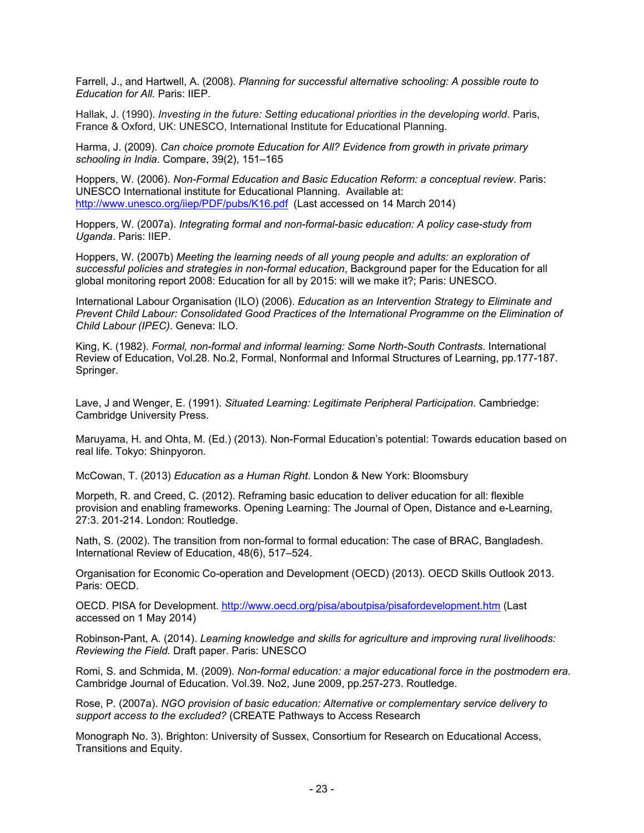Farrell, J., and Hartwell, A. (2008). *Planning for successful alternative schooling: A possible route to Education for All.* Paris: IIEP.

Hallak, J. (1990). *Investing in the future: Setting educational priorities in the developing world*. Paris, France & Oxford, UK: UNESCO, International Institute for Educational Planning.

Harma, J. (2009). *Can choice promote Education for All? Evidence from growth in private primary schooling in India*. Compare, 39(2), 151–165

Hoppers, W. (2006). *Non-Formal Education and Basic Education Reform: a conceptual review*. Paris: UNESCO International institute for Educational Planning. Available at: http://www.unesco.org/iiep/PDF/pubs/K16.pdf (Last accessed on 14 March 2014)

Hoppers, W. (2007a). *Integrating formal and non-formal-basic education: A policy case-study from Uganda*. Paris: IIEP.

Hoppers, W. (2007b) *Meeting the learning needs of all young people and adults: an exploration of successful policies and strategies in non-formal education*, Background paper for the Education for all global monitoring report 2008: Education for all by 2015: will we make it?; Paris: UNESCO.

International Labour Organisation (ILO) (2006). *Education as an Intervention Strategy to Eliminate and Prevent Child Labour: Consolidated Good Practices of the International Programme on the Elimination of Child Labour (IPEC)*. Geneva: ILO.

King, K. (1982). *Formal, non-formal and informal learning: Some North-South Contrasts*. International Review of Education, Vol.28. No.2, Formal, Nonformal and Informal Structures of Learning, pp.177-187. Springer.

Lave, J and Wenger, E. (1991). *Situated Learning: Legitimate Peripheral Participation*. Cambriedge: Cambridge University Press.

Maruyama, H. and Ohta, M. (Ed.) (2013). Non-Formal Education's potential: Towards education based on real life. Tokyo: Shinpyoron.

McCowan, T. (2013) *Education as a Human Right*. London & New York: Bloomsbury

Morpeth, R. and Creed, C. (2012). Reframing basic education to deliver education for all: flexible provision and enabling frameworks. Opening Learning: The Journal of Open, Distance and e-Learning, 27:3. 201-214. London: Routledge.

Nath, S. (2002). The transition from non-formal to formal education: The case of BRAC, Bangladesh. International Review of Education, 48(6), 517–524.

Organisation for Economic Co-operation and Development (OECD) (2013). OECD Skills Outlook 2013. Paris: OECD.

OECD. PISA for Development. http://www.oecd.org/pisa/aboutpisa/pisafordevelopment.htm (Last accessed on 1 May 2014)

Robinson-Pant, A. (2014). *Learning knowledge and skills for agriculture and improving rural livelihoods: Reviewing the Field.* Draft paper. Paris: UNESCO

Romi, S. and Schmida, M. (2009). *Non-formal education: a major educational force in the postmodern era*. Cambridge Journal of Education. Vol.39. No2, June 2009, pp.257-273. Routledge.

Rose, P. (2007a). *NGO provision of basic education: Alternative or complementary service delivery to support access to the excluded?* (CREATE Pathways to Access Research

Monograph No. 3). Brighton: University of Sussex, Consortium for Research on Educational Access, Transitions and Equity.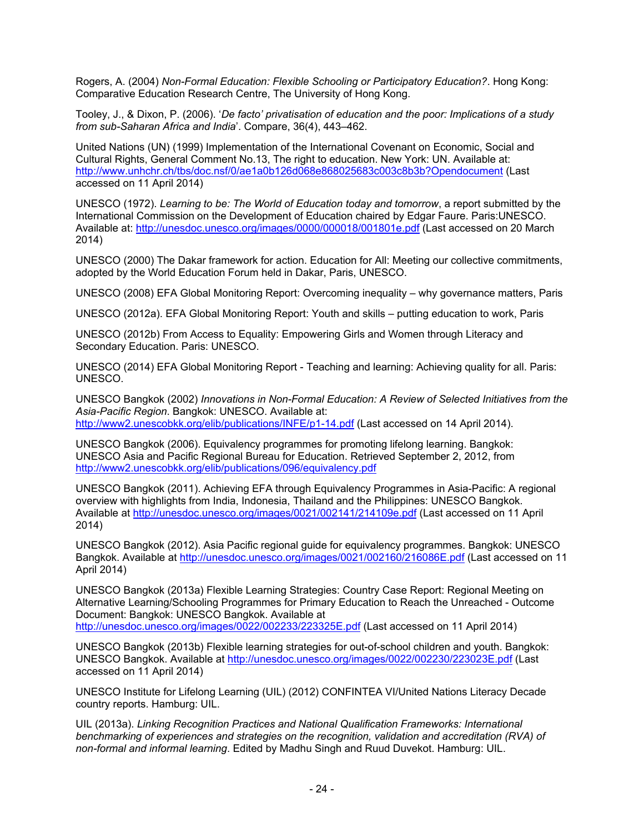Rogers, A. (2004) *Non-Formal Education: Flexible Schooling or Participatory Education?*. Hong Kong: Comparative Education Research Centre, The University of Hong Kong.

Tooley, J., & Dixon, P. (2006). '*De facto' privatisation of education and the poor: Implications of a study from sub-Saharan Africa and India*'. Compare, 36(4), 443–462.

United Nations (UN) (1999) Implementation of the International Covenant on Economic, Social and Cultural Rights, General Comment No.13, The right to education. New York: UN. Available at: http://www.unhchr.ch/tbs/doc.nsf/0/ae1a0b126d068e868025683c003c8b3b?Opendocument (Last accessed on 11 April 2014)

UNESCO (1972). *Learning to be: The World of Education today and tomorrow*, a report submitted by the International Commission on the Development of Education chaired by Edgar Faure. Paris:UNESCO. Available at: http://unesdoc.unesco.org/images/0000/000018/001801e.pdf (Last accessed on 20 March 2014)

UNESCO (2000) The Dakar framework for action. Education for All: Meeting our collective commitments, adopted by the World Education Forum held in Dakar, Paris, UNESCO.

UNESCO (2008) EFA Global Monitoring Report: Overcoming inequality – why governance matters, Paris

UNESCO (2012a). EFA Global Monitoring Report: Youth and skills – putting education to work, Paris

UNESCO (2012b) From Access to Equality: Empowering Girls and Women through Literacy and Secondary Education. Paris: UNESCO.

UNESCO (2014) EFA Global Monitoring Report - Teaching and learning: Achieving quality for all. Paris: UNESCO.

UNESCO Bangkok (2002) *Innovations in Non-Formal Education: A Review of Selected Initiatives from the Asia-Pacific Region*. Bangkok: UNESCO. Available at: http://www2.unescobkk.org/elib/publications/INFE/p1-14.pdf (Last accessed on 14 April 2014).

UNESCO Bangkok (2006). Equivalency programmes for promoting lifelong learning. Bangkok: UNESCO Asia and Pacific Regional Bureau for Education. Retrieved September 2, 2012, from http://www2.unescobkk.org/elib/publications/096/equivalency.pdf

UNESCO Bangkok (2011). Achieving EFA through Equivalency Programmes in Asia-Pacific: A regional overview with highlights from India, Indonesia, Thailand and the Philippines: UNESCO Bangkok. Available at http://unesdoc.unesco.org/images/0021/002141/214109e.pdf (Last accessed on 11 April 2014)

UNESCO Bangkok (2012). Asia Pacific regional guide for equivalency programmes. Bangkok: UNESCO Bangkok. Available at http://unesdoc.unesco.org/images/0021/002160/216086E.pdf (Last accessed on 11 April 2014)

UNESCO Bangkok (2013a) Flexible Learning Strategies: Country Case Report: Regional Meeting on Alternative Learning/Schooling Programmes for Primary Education to Reach the Unreached - Outcome Document: Bangkok: UNESCO Bangkok. Available at http://unesdoc.unesco.org/images/0022/002233/223325E.pdf (Last accessed on 11 April 2014)

UNESCO Bangkok (2013b) Flexible learning strategies for out-of-school children and youth. Bangkok: UNESCO Bangkok. Available at http://unesdoc.unesco.org/images/0022/002230/223023E.pdf (Last accessed on 11 April 2014)

UNESCO Institute for Lifelong Learning (UIL) (2012) CONFINTEA VI/United Nations Literacy Decade country reports. Hamburg: UIL.

UIL (2013a). *Linking Recognition Practices and National Qualification Frameworks: International benchmarking of experiences and strategies on the recognition, validation and accreditation (RVA) of non-formal and informal learning*. Edited by Madhu Singh and Ruud Duvekot. Hamburg: UIL.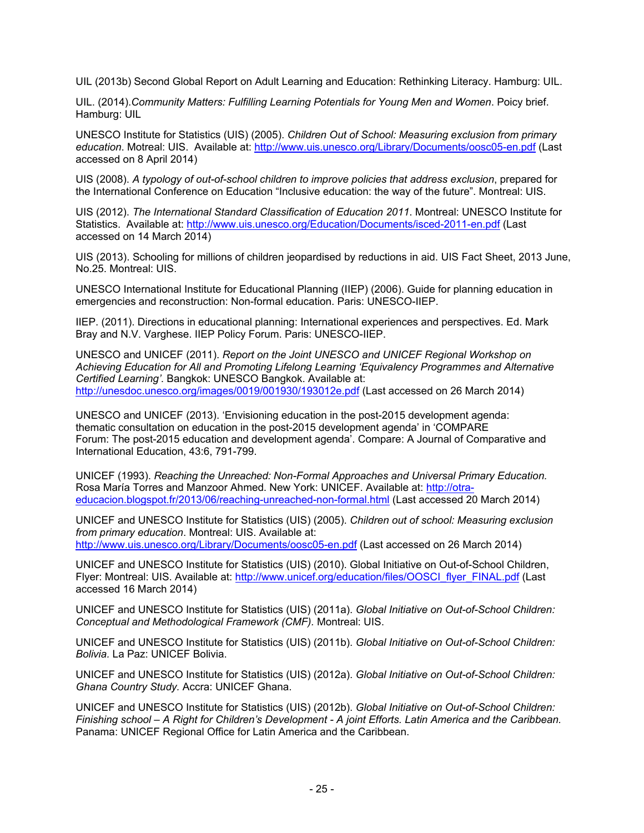UIL (2013b) Second Global Report on Adult Learning and Education: Rethinking Literacy. Hamburg: UIL.

UIL. (2014).*Community Matters: Fulfilling Learning Potentials for Young Men and Women*. Poicy brief. Hamburg: UIL

UNESCO Institute for Statistics (UIS) (2005). *Children Out of School: Measuring exclusion from primary education*. Motreal: UIS. Available at: http://www.uis.unesco.org/Library/Documents/oosc05-en.pdf (Last accessed on 8 April 2014)

UIS (2008). *A typology of out-of-school children to improve policies that address exclusion*, prepared for the International Conference on Education "Inclusive education: the way of the future". Montreal: UIS.

UIS (2012). *The International Standard Classification of Education 2011*. Montreal: UNESCO Institute for Statistics. Available at: http://www.uis.unesco.org/Education/Documents/isced-2011-en.pdf (Last accessed on 14 March 2014)

UIS (2013). Schooling for millions of children jeopardised by reductions in aid. UIS Fact Sheet, 2013 June, No.25. Montreal: UIS.

UNESCO International Institute for Educational Planning (IIEP) (2006). Guide for planning education in emergencies and reconstruction: Non-formal education. Paris: UNESCO-IIEP.

IIEP. (2011). Directions in educational planning: International experiences and perspectives. Ed. Mark Bray and N.V. Varghese. IIEP Policy Forum. Paris: UNESCO-IIEP.

UNESCO and UNICEF (2011). *Report on the Joint UNESCO and UNICEF Regional Workshop on Achieving Education for All and Promoting Lifelong Learning 'Equivalency Programmes and Alternative Certified Learning'*. Bangkok: UNESCO Bangkok. Available at: http://unesdoc.unesco.org/images/0019/001930/193012e.pdf (Last accessed on 26 March 2014)

UNESCO and UNICEF (2013). 'Envisioning education in the post-2015 development agenda: thematic consultation on education in the post-2015 development agenda' in 'COMPARE Forum: The post-2015 education and development agenda'. Compare: A Journal of Comparative and International Education, 43:6, 791-799.

UNICEF (1993). *Reaching the Unreached: Non-Formal Approaches and Universal Primary Education.*  Rosa María Torres and Manzoor Ahmed. New York: UNICEF. Available at: http://otraeducacion.blogspot.fr/2013/06/reaching-unreached-non-formal.html (Last accessed 20 March 2014)

UNICEF and UNESCO Institute for Statistics (UIS) (2005). *Children out of school: Measuring exclusion from primary education*. Montreal: UIS. Available at: http://www.uis.unesco.org/Library/Documents/oosc05-en.pdf (Last accessed on 26 March 2014)

UNICEF and UNESCO Institute for Statistics (UIS) (2010). Global Initiative on Out-of-School Children, Flyer: Montreal: UIS. Available at: http://www.unicef.org/education/files/OOSCI\_flyer\_FINAL.pdf (Last accessed 16 March 2014)

UNICEF and UNESCO Institute for Statistics (UIS) (2011a). *Global Initiative on Out-of-School Children: Conceptual and Methodological Framework (CMF).* Montreal: UIS.

UNICEF and UNESCO Institute for Statistics (UIS) (2011b). *Global Initiative on Out-of-School Children: Bolivia.* La Paz: UNICEF Bolivia.

UNICEF and UNESCO Institute for Statistics (UIS) (2012a). *Global Initiative on Out-of-School Children: Ghana Country Study.* Accra: UNICEF Ghana.

UNICEF and UNESCO Institute for Statistics (UIS) (2012b). *Global Initiative on Out-of-School Children: Finishing school – A Right for Children's Development - A joint Efforts. Latin America and the Caribbean.*  Panama: UNICEF Regional Office for Latin America and the Caribbean.